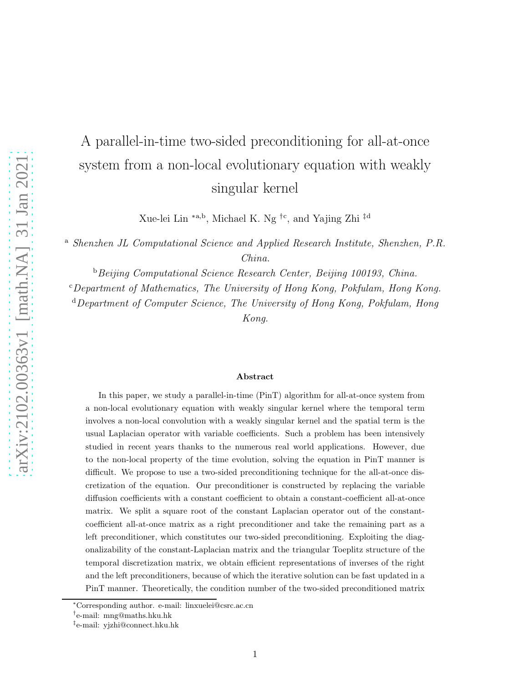# A parallel-in-time two-sided preconditioning for all-at-once system from a non-local evolutionary equation with weakly singular kernel

Xue-lei Lin <sup>∗</sup>a,b, Michael K. Ng †<sup>c</sup> , and Yajing Zhi ‡<sup>d</sup>

<sup>a</sup> Shenzhen JL Computational Science and Applied Research Institute, Shenzhen, P.R. China.

**b**Beijing Computational Science Research Center, Beijing 100193, China.

 $c$ Department of Mathematics, The University of Hong Kong, Pokfulam, Hong Kong.

<sup>d</sup>Department of Computer Science, The University of Hong Kong, Pokfulam, Hong Kong.

#### Abstract

In this paper, we study a parallel-in-time (PinT) algorithm for all-at-once system from a non-local evolutionary equation with weakly singular kernel where the temporal term involves a non-local convolution with a weakly singular kernel and the spatial term is the usual Laplacian operator with variable coefficients. Such a problem has been intensively studied in recent years thanks to the numerous real world applications. However, due to the non-local property of the time evolution, solving the equation in PinT manner is difficult. We propose to use a two-sided preconditioning technique for the all-at-once discretization of the equation. Our preconditioner is constructed by replacing the variable diffusion coefficients with a constant coefficient to obtain a constant-coefficient all-at-once matrix. We split a square root of the constant Laplacian operator out of the constantcoefficient all-at-once matrix as a right preconditioner and take the remaining part as a left preconditioner, which constitutes our two-sided preconditioning. Exploiting the diagonalizability of the constant-Laplacian matrix and the triangular Toeplitz structure of the temporal discretization matrix, we obtain efficient representations of inverses of the right and the left preconditioners, because of which the iterative solution can be fast updated in a PinT manner. Theoretically, the condition number of the two-sided preconditioned matrix

<sup>∗</sup>Corresponding author. e-mail: linxuelei@csrc.ac.cn

<sup>†</sup> e-mail: mng@maths.hku.hk

<sup>‡</sup> e-mail: yjzhi@connect.hku.hk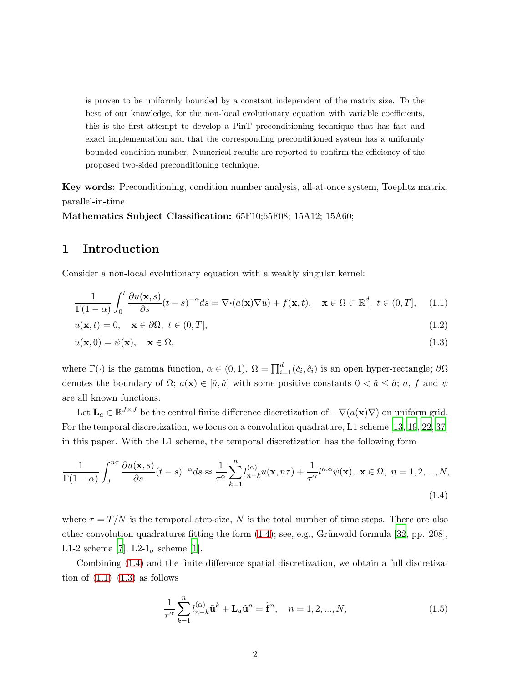is proven to be uniformly bounded by a constant independent of the matrix size. To the best of our knowledge, for the non-local evolutionary equation with variable coefficients, this is the first attempt to develop a PinT preconditioning technique that has fast and exact implementation and that the corresponding preconditioned system has a uniformly bounded condition number. Numerical results are reported to confirm the efficiency of the proposed two-sided preconditioning technique.

Key words: Preconditioning, condition number analysis, all-at-once system, Toeplitz matrix, parallel-in-time

<span id="page-1-4"></span>Mathematics Subject Classification: 65F10;65F08; 15A12; 15A60;

#### 1 Introduction

Consider a non-local evolutionary equation with a weakly singular kernel:

<span id="page-1-1"></span>
$$
\frac{1}{\Gamma(1-\alpha)} \int_0^t \frac{\partial u(\mathbf{x}, s)}{\partial s} (t-s)^{-\alpha} ds = \nabla \cdot (a(\mathbf{x}) \nabla u) + f(\mathbf{x}, t), \quad \mathbf{x} \in \Omega \subset \mathbb{R}^d, \ t \in (0, T], \quad (1.1)
$$

$$
u(\mathbf{x},t) = 0, \quad \mathbf{x} \in \partial\Omega, \ t \in (0,T], \tag{1.2}
$$

<span id="page-1-2"></span>
$$
u(\mathbf{x},0) = \psi(\mathbf{x}), \quad \mathbf{x} \in \Omega,
$$
\n(1.3)

where  $\Gamma(\cdot)$  is the gamma function,  $\alpha \in (0,1)$ ,  $\Omega = \prod_{i=1}^{d} (\check{c}_i, \hat{c}_i)$  is an open hyper-rectangle;  $\partial \Omega$ denotes the boundary of  $\Omega$ ;  $a(\mathbf{x}) \in [\check{a}, \hat{a}]$  with some positive constants  $0 < \check{a} \leq \hat{a}$ ;  $a, f$  and  $\psi$ are all known functions.

Let  $\mathbf{L}_a \in \mathbb{R}^{J \times J}$  be the central finite difference discretization of  $-\nabla(a(\mathbf{x})\nabla)$  on uniform grid. For the temporal discretization, we focus on a convolution quadrature, L1 scheme [\[13](#page-19-0), [19,](#page-19-1) [22](#page-19-2), [37\]](#page-21-0) in this paper. With the L1 scheme, the temporal discretization has the following form

$$
\frac{1}{\Gamma(1-\alpha)} \int_0^{n\tau} \frac{\partial u(\mathbf{x},s)}{\partial s} (t-s)^{-\alpha} ds \approx \frac{1}{\tau^{\alpha}} \sum_{k=1}^n l_{n-k}^{(\alpha)} u(\mathbf{x},n\tau) + \frac{1}{\tau^{\alpha}} l_{n,\alpha} \psi(\mathbf{x}), \ \mathbf{x} \in \Omega, \ n = 1, 2, ..., N,
$$
\n(1.4)

where  $\tau = T/N$  is the temporal step-size, N is the total number of time steps. There are also other convolution quadratures fitting the form  $(1.4)$ ; see, e.g., Grünwald formula [\[32](#page-20-0), pp. 208], L1-2 scheme [\[7\]](#page-18-0), L2- $1_{\sigma}$  scheme [\[1\]](#page-18-1).

Combining [\(1.4\)](#page-1-0) and the finite difference spatial discretization, we obtain a full discretization of  $(1.1)$ – $(1.3)$  as follows

<span id="page-1-3"></span><span id="page-1-0"></span>
$$
\frac{1}{\tau^{\alpha}} \sum_{k=1}^{n} l_{n-k}^{(\alpha)} \tilde{\mathbf{u}}^{k} + \mathbf{L}_{a} \tilde{\mathbf{u}}^{n} = \tilde{\mathbf{f}}^{n}, \quad n = 1, 2, ..., N,
$$
\n(1.5)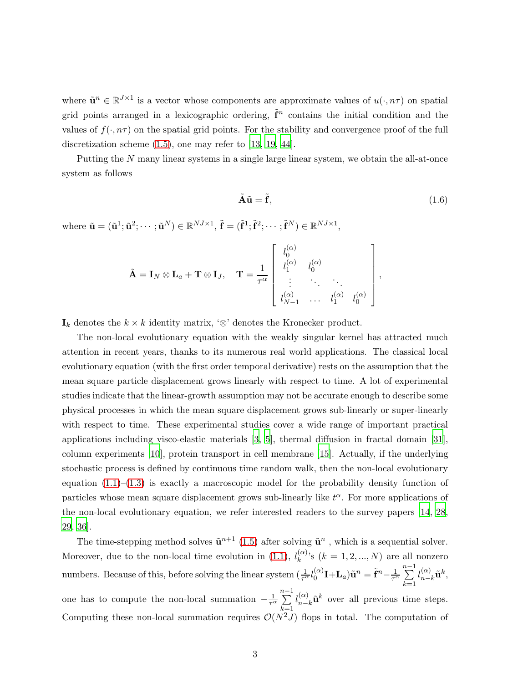where  $\tilde{\mathbf{u}}^n \in \mathbb{R}^{J \times 1}$  is a vector whose components are approximate values of  $u(\cdot, n\tau)$  on spatial grid points arranged in a lexicographic ordering,  $\tilde{f}^n$  contains the initial condition and the values of  $f(\cdot, n\tau)$  on the spatial grid points. For the stability and convergence proof of the full discretization scheme  $(1.5)$ , one may refer to [\[13,](#page-19-0) [19](#page-19-1), [44](#page-21-1)].

Putting the N many linear systems in a single large linear system, we obtain the all-at-once system as follows

<span id="page-2-0"></span>
$$
\tilde{\mathbf{A}}\tilde{\mathbf{u}} = \tilde{\mathbf{f}},\tag{1.6}
$$

where  $\tilde{\mathbf{u}} = (\tilde{\mathbf{u}}^1; \tilde{\mathbf{u}}^2; \cdots; \tilde{\mathbf{u}}^N) \in \mathbb{R}^{NJ \times 1}, \tilde{\mathbf{f}} = (\tilde{\mathbf{f}}^1; \tilde{\mathbf{f}}^2; \cdots; \tilde{\mathbf{f}}^N) \in \mathbb{R}^{NJ \times 1},$ 

$$
\tilde{\mathbf{A}} = \mathbf{I}_N \otimes \mathbf{L}_a + \mathbf{T} \otimes \mathbf{I}_J, \quad \mathbf{T} = \frac{1}{\tau^{\alpha}} \begin{bmatrix} l_0^{(\alpha)} & l_0^{(\alpha)} & \\ l_1^{(\alpha)} & l_0^{(\alpha)} & \\ \vdots & \ddots & \ddots \\ l_{N-1}^{(\alpha)} & \cdots & l_1^{(\alpha)} & l_0^{(\alpha)} \end{bmatrix},
$$

 $\mathbf{I}_k$  denotes the  $k \times k$  identity matrix, '⊗' denotes the Kronecker product.

The non-local evolutionary equation with the weakly singular kernel has attracted much attention in recent years, thanks to its numerous real world applications. The classical local evolutionary equation (with the first order temporal derivative) rests on the assumption that the mean square particle displacement grows linearly with respect to time. A lot of experimental studies indicate that the linear-growth assumption may not be accurate enough to describe some physical processes in which the mean square displacement grows sub-linearly or super-linearly with respect to time. These experimental studies cover a wide range of important practical applications including visco-elastic materials [\[3](#page-18-2), [5](#page-18-3)], thermal diffusion in fractal domain [\[31\]](#page-20-1), column experiments [\[10](#page-19-3)], protein transport in cell membrane [\[15\]](#page-19-4). Actually, if the underlying stochastic process is defined by continuous time random walk, then the non-local evolutionary equation  $(1.1)$ – $(1.3)$  is exactly a macroscopic model for the probability density function of particles whose mean square displacement grows sub-linearly like  $t^{\alpha}$ . For more applications of the non-local evolutionary equation, we refer interested readers to the survey papers [\[14,](#page-19-5) [28,](#page-20-2) [29,](#page-20-3) [36](#page-20-4)].

The time-stepping method solves  $\tilde{\mathbf{u}}^{n+1}$  [\(1.5\)](#page-1-3) after solving  $\tilde{\mathbf{u}}^n$ , which is a sequential solver. Moreover, due to the non-local time evolution in [\(1.1\)](#page-1-1),  $l_k^{(\alpha)}$  $\binom{\alpha}{k}$ 's  $(k = 1, 2, ..., N)$  are all nonzero numbers. Because of this, before solving the linear system  $(\frac{1}{\tau^{\alpha}}l_0^{(\alpha)})$  $\mathbf{I}^{(\alpha)}$ I+L $_{a})\tilde{\mathbf{u}}^{n}=\tilde{\mathbf{f}}^{n}{-}\frac{1}{\tau^{\alpha}}$  $\sum_{i=1}^{n-1}$  $k=1$  $l_{n}^{(\alpha)}$  $_{n-k}^{(\alpha )}\mathbf{\tilde{u}}^{k},$ one has to compute the non-local summation  $-\frac{1}{\tau^{\alpha}}$  $\sum_{ }^{n-1}$  $k=1$  $l_{n}^{(\alpha)}$  $_{n-k}^{(\alpha)}\tilde{\mathbf{u}}^k$  over all previous time steps. Computing these non-local summation requires  $\mathcal{O}(N^2J)$  flops in total. The computation of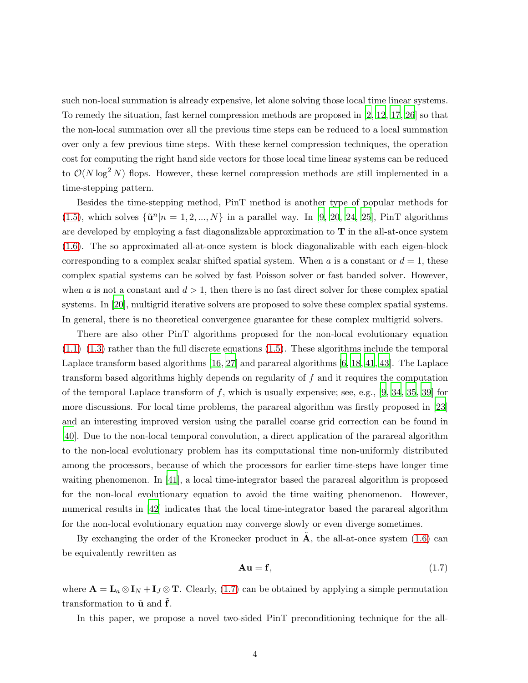such non-local summation is already expensive, let alone solving those local time linear systems. To remedy the situation, fast kernel compression methods are proposed in [\[2,](#page-18-4) [12](#page-19-6), [17](#page-19-7), [26](#page-20-5)] so that the non-local summation over all the previous time steps can be reduced to a local summation over only a few previous time steps. With these kernel compression techniques, the operation cost for computing the right hand side vectors for those local time linear systems can be reduced to  $\mathcal{O}(N \log^2 N)$  flops. However, these kernel compression methods are still implemented in a time-stepping pattern.

Besides the time-stepping method, PinT method is another type of popular methods for [\(1.5\)](#page-1-3), which solves  $\{\tilde{\mathbf{u}}^n | n = 1, 2, ..., N\}$  in a parallel way. In [\[9,](#page-18-5) [20](#page-19-8), [24](#page-20-6), [25](#page-20-7)], PinT algorithms are developed by employing a fast diagonalizable approximation to  $T$  in the all-at-once system [\(1.6\)](#page-2-0). The so approximated all-at-once system is block diagonalizable with each eigen-block corresponding to a complex scalar shifted spatial system. When a is a constant or  $d = 1$ , these complex spatial systems can be solved by fast Poisson solver or fast banded solver. However, when a is not a constant and  $d > 1$ , then there is no fast direct solver for these complex spatial systems. In [\[20](#page-19-8)], multigrid iterative solvers are proposed to solve these complex spatial systems. In general, there is no theoretical convergence guarantee for these complex multigrid solvers.

There are also other PinT algorithms proposed for the non-local evolutionary equation  $(1.1)$ – $(1.3)$  rather than the full discrete equations  $(1.5)$ . These algorithms include the temporal Laplace transform based algorithms [\[16](#page-19-9), [27](#page-20-8)] and parareal algorithms [\[6,](#page-18-6) [18](#page-19-10), [41,](#page-21-2) [43](#page-21-3)]. The Laplace transform based algorithms highly depends on regularity of f and it requires the computation of the temporal Laplace transform of f, which is usually expensive; see, e.g.,  $[9, 34, 35, 39]$  $[9, 34, 35, 39]$  $[9, 34, 35, 39]$  $[9, 34, 35, 39]$  $[9, 34, 35, 39]$  $[9, 34, 35, 39]$  for more discussions. For local time problems, the parareal algorithm was firstly proposed in [\[23\]](#page-19-11) and an interesting improved version using the parallel coarse grid correction can be found in [\[40\]](#page-21-5). Due to the non-local temporal convolution, a direct application of the parareal algorithm to the non-local evolutionary problem has its computational time non-uniformly distributed among the processors, because of which the processors for earlier time-steps have longer time waiting phenomenon. In [\[41\]](#page-21-2), a local time-integrator based the parareal algorithm is proposed for the non-local evolutionary equation to avoid the time waiting phenomenon. However, numerical results in [\[42](#page-21-6)] indicates that the local time-integrator based the parareal algorithm for the non-local evolutionary equation may converge slowly or even diverge sometimes.

By exchanging the order of the Kronecker product in  $\bf{A}$ , the all-at-once system [\(1.6\)](#page-2-0) can be equivalently rewritten as

<span id="page-3-0"></span>
$$
Au = f,\t\t(1.7)
$$

where  $\mathbf{A} = \mathbf{L}_a \otimes \mathbf{I}_N + \mathbf{I}_J \otimes \mathbf{T}$ . Clearly, [\(1.7\)](#page-3-0) can be obtained by applying a simple permutation transformation to  $\tilde{u}$  and  $f$ .

In this paper, we propose a novel two-sided PinT preconditioning technique for the all-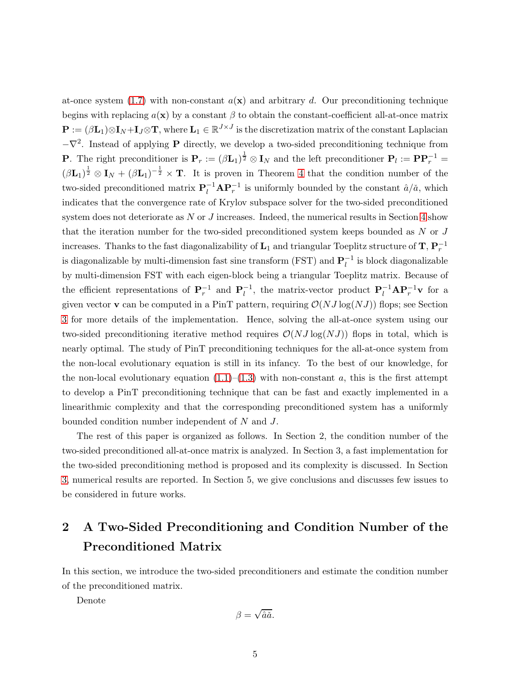at-once system [\(1.7\)](#page-3-0) with non-constant  $a(\mathbf{x})$  and arbitrary d. Our preconditioning technique begins with replacing  $a(\mathbf{x})$  by a constant  $\beta$  to obtain the constant-coefficient all-at-once matrix  $\mathbf{P} := (\beta \mathbf{L}_1) \otimes \mathbf{I}_N + \mathbf{I}_J \otimes \mathbf{T}$ , where  $\mathbf{L}_1 \in \mathbb{R}^{J \times J}$  is the discretization matrix of the constant Laplacian  $-\nabla^2$ . Instead of applying **P** directly, we develop a two-sided preconditioning technique from **P**. The right preconditioner is  $P_r := (\beta L_1)^{\frac{1}{2}} \otimes I_N$  and the left preconditioner  $P_l := PP_r^{-1} =$  $(\beta L_1)^{\frac{1}{2}} \otimes I_N + (\beta L_1)^{-\frac{1}{2}} \times T$ . It is proven in Theorem [4](#page-7-0) that the condition number of the two-sided preconditioned matrix  $P_l^{-1} A P_r^{-1}$  is uniformly bounded by the constant  $\hat{a}/\tilde{a}$ , which indicates that the convergence rate of Krylov subspace solver for the two-sided preconditioned system does not deteriorate as  $N$  or  $J$  increases. Indeed, the numerical results in Section [4](#page-12-0) show that the iteration number for the two-sided preconditioned system keeps bounded as  $N$  or  $J$ increases. Thanks to the fast diagonalizability of  $\mathbf{L}_1$  and triangular Toeplitz structure of  $\mathbf{T},$   $\mathbf{P}_r^{-1}$ is diagonalizable by multi-dimension fast sine transform (FST) and  $\mathbf{P}_l^{-1}$  is block diagonalizable by multi-dimension FST with each eigen-block being a triangular Toeplitz matrix. Because of the efficient representations of  $P_r^{-1}$  and  $P_l^{-1}$ , the matrix-vector product  $P_l^{-1}AP_r^{-1}v$  for a given vector **v** can be computed in a PinT pattern, requiring  $\mathcal{O}(NJ \log(NJ))$  flops; see Section [3](#page-8-0) for more details of the implementation. Hence, solving the all-at-once system using our two-sided preconditioning iterative method requires  $\mathcal{O}(NJ \log(NJ))$  flops in total, which is nearly optimal. The study of PinT preconditioning techniques for the all-at-once system from the non-local evolutionary equation is still in its infancy. To the best of our knowledge, for the non-local evolutionary equation  $(1.1)$ – $(1.3)$  with non-constant a, this is the first attempt to develop a PinT preconditioning technique that can be fast and exactly implemented in a linearithmic complexity and that the corresponding preconditioned system has a uniformly bounded condition number independent of N and J.

The rest of this paper is organized as follows. In Section 2, the condition number of the two-sided preconditioned all-at-once matrix is analyzed. In Section 3, a fast implementation for the two-sided preconditioning method is proposed and its complexity is discussed. In Section [3,](#page-8-0) numerical results are reported. In Section 5, we give conclusions and discusses few issues to be considered in future works.

# 2 A Two-Sided Preconditioning and Condition Number of the Preconditioned Matrix

In this section, we introduce the two-sided preconditioners and estimate the condition number of the preconditioned matrix.

Denote

$$
\beta=\sqrt{\hat{a}\check{a}}.
$$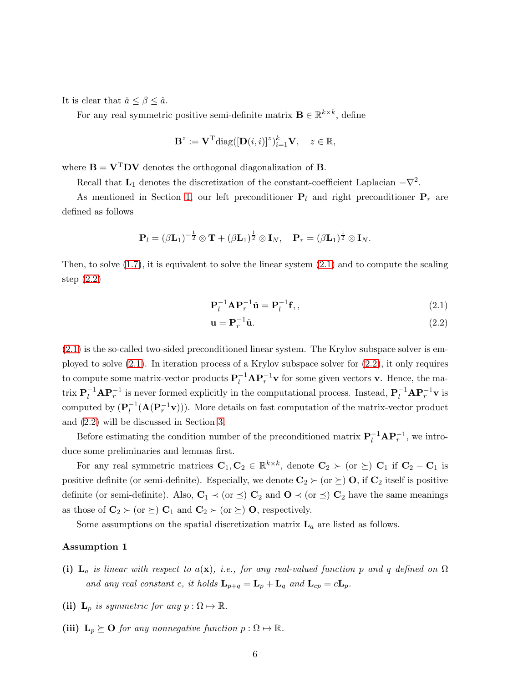It is clear that  $\check{a} \leq \beta \leq \hat{a}$ .

For any real symmetric positive semi-definite matrix  $\mathbf{B} \in \mathbb{R}^{k \times k}$ , define

$$
\mathbf{B}^z := \mathbf{V}^{\mathrm{T}} \mathrm{diag}([\mathbf{D}(i,i)]^z)_{i=1}^k \mathbf{V}, \quad z \in \mathbb{R},
$$

where  $\mathbf{B} = \mathbf{V}^T \mathbf{D} \mathbf{V}$  denotes the orthogonal diagonalization of **B**.

Recall that  $\mathbf{L}_1$  denotes the discretization of the constant-coefficient Laplacian  $-\nabla^2$ .

As mentioned in Section [1,](#page-1-4) our left preconditioner  $P_l$  and right preconditioner  $P_r$  are defined as follows

$$
\mathbf{P}_{l}=(\beta\mathbf{L}_{1})^{-\frac{1}{2}}\otimes\mathbf{T}+(\beta\mathbf{L}_{1})^{\frac{1}{2}}\otimes\mathbf{I}_{N},\quad\mathbf{P}_{r}=(\beta\mathbf{L}_{1})^{\frac{1}{2}}\otimes\mathbf{I}_{N}.
$$

Then, to solve  $(1.7)$ , it is equivalent to solve the linear system  $(2.1)$  and to compute the scaling step [\(2.2\)](#page-5-1)

<span id="page-5-0"></span>
$$
\mathbf{P}_l^{-1}\mathbf{A}\mathbf{P}_r^{-1}\hat{\mathbf{u}} = \mathbf{P}_l^{-1}\mathbf{f},\qquad(2.1)
$$

<span id="page-5-2"></span><span id="page-5-1"></span>
$$
\mathbf{u} = \mathbf{P}_r^{-1} \hat{\mathbf{u}}.\tag{2.2}
$$

[\(2.1\)](#page-5-0) is the so-called two-sided preconditioned linear system. The Krylov subspace solver is employed to solve [\(2.1\)](#page-5-0). In iteration process of a Krylov subspace solver for [\(2.2\)](#page-5-1), it only requires to compute some matrix-vector products  $P_l^{-1} A P_r^{-1} v$  for some given vectors v. Hence, the matrix  $P_l^{-1}AP_r^{-1}$  is never formed explicitly in the computational process. Instead,  $P_l^{-1}AP_r^{-1}v$  is computed by  $(\mathbf{P}_l^{-1}(\mathbf{A}(\mathbf{P}_r^{-1}\mathbf{v})))$ . More details on fast computation of the matrix-vector product and [\(2.2\)](#page-5-1) will be discussed in Section [3.](#page-8-0)

Before estimating the condition number of the preconditioned matrix  $P_l^{-1} A P_r^{-1}$ , we introduce some preliminaries and lemmas first.

For any real symmetric matrices  $C_1, C_2 \in \mathbb{R}^{k \times k}$ , denote  $C_2 \succ (or \geq) C_1$  if  $C_2 - C_1$  is positive definite (or semi-definite). Especially, we denote  $\mathbf{C}_2 \succ (\text{or } \succeq) \mathbf{O}$ , if  $\mathbf{C}_2$  itself is positive definite (or semi-definite). Also,  $C_1 \prec (or \preceq) C_2$  and  $O \prec (or \preceq) C_2$  have the same meanings as those of  $\mathbf{C}_2 \succ (\text{or } \succeq) \mathbf{C}_1$  and  $\mathbf{C}_2 \succ (\text{or } \succeq) \mathbf{O}$ , respectively.

Some assumptions on the spatial discretization matrix  $L_a$  are listed as follows.

#### Assumption 1

- (i)  $\mathbf{L}_a$  is linear with respect to  $a(\mathbf{x})$ , i.e., for any real-valued function p and q defined on  $\Omega$ and any real constant c, it holds  $\mathbf{L}_{p+q} = \mathbf{L}_p + \mathbf{L}_q$  and  $\mathbf{L}_{cp} = c\mathbf{L}_p$ .
- (ii)  $\mathbf{L}_p$  is symmetric for any  $p : \Omega \mapsto \mathbb{R}$ .
- (iii)  $L_p \succeq O$  for any nonnegative function  $p : \Omega \mapsto \mathbb{R}$ .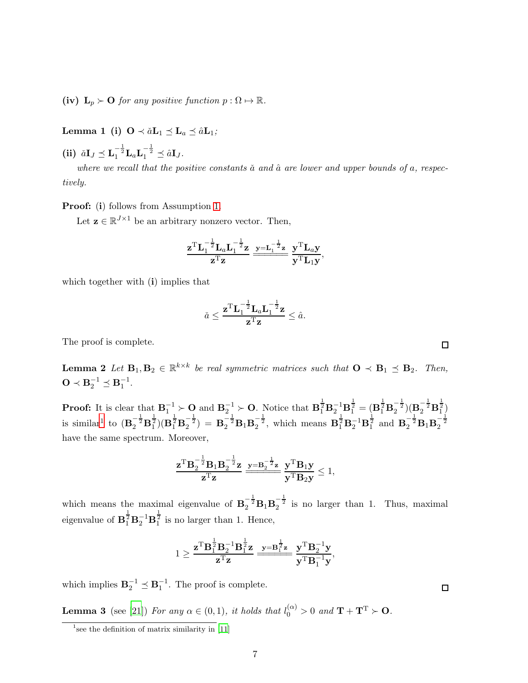<span id="page-6-1"></span>(iv)  $\mathbf{L}_p \succ \mathbf{O}$  for any positive function  $p : \Omega \mapsto \mathbb{R}$ .

Lemma 1 (i)  $\mathbf{O} \prec \tilde{a} \mathbf{L}_1 \preceq \mathbf{L}_a \preceq \hat{a} \mathbf{L}_1;$ 

(ii)  $\check{a}I_J \preceq L_1^{-\frac{1}{2}}L_aL_1^{-\frac{1}{2}} \preceq \hat{a}I_J.$ 

where we recall that the positive constants  $\check{a}$  and  $\hat{a}$  are lower and upper bounds of a, respectively.

Proof: (i) follows from Assumption [1.](#page-5-2)

Let  $\mathbf{z} \in \mathbb{R}^{J \times 1}$  be an arbitrary nonzero vector. Then,

$$
\frac{\mathbf{z}^{\mathrm{T}}\mathbf{L}_1^{-\frac{1}{2}}\mathbf{L}_a\mathbf{L}_1^{-\frac{1}{2}}\mathbf{z}}{\mathbf{z}^{\mathrm{T}}\mathbf{z}}\frac{\mathbf{y}=\mathbf{L}_1^{-\frac{1}{2}}\mathbf{z}}{\mathbf{y}^{\mathrm{T}}\mathbf{L}_1\mathbf{y}},
$$

which together with  $(i)$  implies that

$$
\check{a} \leq \frac{\mathbf{z}^{\mathrm{T}} \mathbf{L}_1^{-\frac{1}{2}} \mathbf{L}_a \mathbf{L}_1^{-\frac{1}{2}} \mathbf{z}}{\mathbf{z}^{\mathrm{T}} \mathbf{z}} \leq \hat{a}.
$$

<span id="page-6-3"></span>The proof is complete.

**Lemma 2** Let  $\mathbf{B}_1, \mathbf{B}_2 \in \mathbb{R}^{k \times k}$  be real symmetric matrices such that  $\mathbf{O} \prec \mathbf{B}_1 \preceq \mathbf{B}_2$ . Then,  $\mathbf{O} \prec \mathbf{B}_2^{-1} \preceq \mathbf{B}_1^{-1}.$ 

**Proof:** It is clear that  $\mathbf{B}_1^{-1} \succ \mathbf{O}$  and  $\mathbf{B}_2^{-1} \succ \mathbf{O}$ . Notice that  $\mathbf{B}_1^{\frac{1}{2}} \mathbf{B}_2^{-1} \mathbf{B}_1^{\frac{1}{2}} = (\mathbf{B}_1^{\frac{1}{2}} \mathbf{B}_2^{-\frac{1}{2}}) (\mathbf{B}_2^{-\frac{1}{2}} \mathbf{B}_1^{\frac{1}{2}})$ is similar<sup>[1](#page-6-0)</sup> to  $(\mathbf{B}_2^{-\frac{1}{2}}\mathbf{B}_1^{\frac{1}{2}})(\mathbf{B}_1^{\frac{1}{2}}\mathbf{B}_2^{-\frac{1}{2}}) = \mathbf{B}_2^{-\frac{1}{2}}\mathbf{B}_1\mathbf{B}_2^{-\frac{1}{2}}$ , which means  $\mathbf{B}_1^{\frac{1}{2}}\mathbf{B}_2^{-1}\mathbf{B}_1^{\frac{1}{2}}$  and  $\mathbf{B}_2^{-\frac{1}{2}}\mathbf{B}_1\mathbf{B}_2^{-\frac{1}{2}}$ have the same spectrum. Moreover,

$$
\frac{\mathbf{z}^{\mathrm{T}}\mathbf{B}_2^{-\frac{1}{2}}\mathbf{B}_1\mathbf{B}_2^{-\frac{1}{2}}\mathbf{z}}{\mathbf{z}^{\mathrm{T}}\mathbf{z}}\xrightarrow{\mathbf{y}=\mathbf{B}_2^{-\frac{1}{2}}\mathbf{z}}\frac{\mathbf{y}^{\mathrm{T}}\mathbf{B}_1\mathbf{y}}{\mathbf{y}^{\mathrm{T}}\mathbf{B}_2\mathbf{y}}\leq 1,
$$

which means the maximal eigenvalue of  $B_2^{-\frac{1}{2}}B_1B_2^{-\frac{1}{2}}$  is no larger than 1. Thus, maximal eigenvalue of  $\mathbf{B}_1^{\frac{1}{2}} \mathbf{B}_2^{-1} \mathbf{B}_1^{\frac{1}{2}}$  is no larger than 1. Hence,

$$
1 \geq \frac{\mathbf{z}^{\mathrm{T}} \mathbf{B}_{1}^{\frac{1}{2}} \mathbf{B}_{2}^{-1} \mathbf{B}_{1}^{\frac{1}{2}} \mathbf{z}}{\mathbf{z}^{\mathrm{T}} \mathbf{z}} \xrightarrow{\mathbf{y} = \mathbf{B}^{\frac{1}{2}} \mathbf{z}} \frac{\mathbf{y}^{\mathrm{T}} \mathbf{B}_{2}^{-1} \mathbf{y}}{\mathbf{y}^{\mathrm{T}} \mathbf{B}^{-1}_{1} \mathbf{y}},
$$

<span id="page-6-2"></span>which implies  $\mathbf{B}_2^{-1} \preceq \mathbf{B}_1^{-1}$ . The proof is complete.

**Lemma 3** (see [\[21](#page-19-12)]) For any  $\alpha \in (0,1)$ , it holds that  $l_0^{(\alpha)} > 0$  and  $\mathbf{T} + \mathbf{T}^{\mathrm{T}} > \mathbf{O}$ .

 $\Box$ 

<span id="page-6-0"></span><sup>&</sup>lt;sup>1</sup> see the definition of matrix similarity in [\[11](#page-19-13)]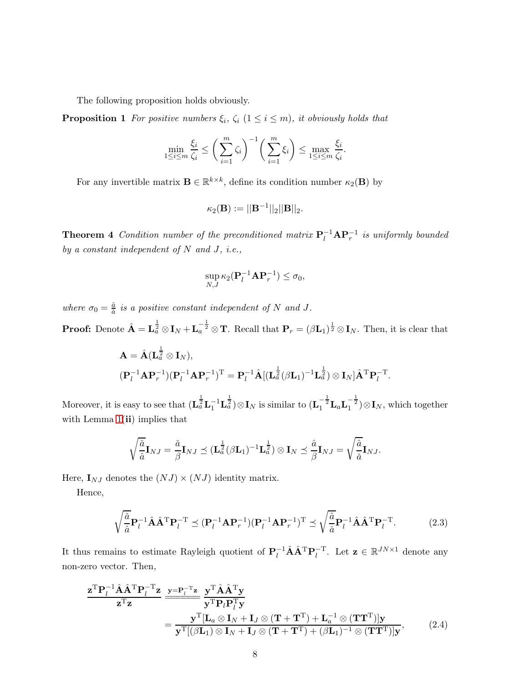The following proposition holds obviously.

**Proposition 1** For positive numbers  $\xi_i$ ,  $\zeta_i$  ( $1 \leq i \leq m$ ), it obviously holds that

<span id="page-7-2"></span>
$$
\min_{1 \le i \le m} \frac{\xi_i}{\zeta_i} \le \bigg(\sum_{i=1}^m \zeta_i\bigg)^{-1} \bigg(\sum_{i=1}^m \xi_i\bigg) \le \max_{1 \le i \le m} \frac{\xi_i}{\zeta_i}.
$$

For any invertible matrix  $\mathbf{B} \in \mathbb{R}^{k \times k}$ , define its condition number  $\kappa_2(\mathbf{B})$  by

$$
\kappa_2({\bf B}):=||{\bf B}^{-1}||_2||{\bf B}||_2.
$$

<span id="page-7-0"></span>**Theorem 4** Condition number of the preconditioned matrix  $P_l^{-1} A P_r^{-1}$  is uniformly bounded by a constant independent of  $N$  and  $J$ , i.e.,

$$
\sup_{N,J} \kappa_2(\mathbf{P}_l^{-1}\mathbf{A}\mathbf{P}_r^{-1}) \le \sigma_0,
$$

where  $\sigma_0 = \frac{\hat{a}}{\tilde{a}}$  $\frac{a}{\check{a}}$  is a positive constant independent of N and J.

**Proof:** Denote  $\hat{\mathbf{A}} = \mathbf{L}_a^{\frac{1}{2}} \otimes \mathbf{I}_N + \mathbf{L}_a^{-\frac{1}{2}} \otimes \mathbf{T}$ . Recall that  $\mathbf{P}_r = (\beta \mathbf{L}_1)^{\frac{1}{2}} \otimes \mathbf{I}_N$ . Then, it is clear that

$$
\mathbf{A} = \hat{\mathbf{A}} (\mathbf{L}_{a}^{\frac{1}{2}} \otimes \mathbf{I}_{N}),
$$
  

$$
(\mathbf{P}_{l}^{-1} \mathbf{A} \mathbf{P}_{r}^{-1}) (\mathbf{P}_{l}^{-1} \mathbf{A} \mathbf{P}_{r}^{-1})^{\mathrm{T}} = \mathbf{P}_{l}^{-1} \hat{\mathbf{A}} [(\mathbf{L}_{a}^{\frac{1}{2}} (\beta \mathbf{L}_{1})^{-1} \mathbf{L}_{a}^{\frac{1}{2}}) \otimes \mathbf{I}_{N}] \hat{\mathbf{A}}^{\mathrm{T}} \mathbf{P}_{l}^{-\mathrm{T}}.
$$

Moreover, it is easy to see that  $(\mathbf{L}_{a}^{\frac{1}{2}} \mathbf{L}_{1}^{-1} \mathbf{L}_{a}^{\frac{1}{2}}) \otimes \mathbf{I}_{N}$  is similar to  $(\mathbf{L}_{1}^{-\frac{1}{2}} \mathbf{L}_{a} \mathbf{L}_{1}^{-\frac{1}{2}}) \otimes \mathbf{I}_{N}$ , which together with Lemma  $1(ii)$  implies that

<span id="page-7-3"></span>
$$
\sqrt{\frac{\check{a}}{\hat{a}}}\mathbf{I}_{NJ} = \frac{\check{a}}{\beta}\mathbf{I}_{NJ} \preceq (\mathbf{L}_{a}^{\frac{1}{2}}(\beta \mathbf{L}_{1})^{-1}\mathbf{L}_{a}^{\frac{1}{2}}) \otimes \mathbf{I}_{N} \preceq \frac{\hat{a}}{\beta}\mathbf{I}_{NJ} = \sqrt{\frac{\hat{a}}{\check{a}}}\mathbf{I}_{NJ}.
$$

Here,  $I_{NJ}$  denotes the  $(NJ) \times (NJ)$  identity matrix.

Hence,

<span id="page-7-1"></span>
$$
\sqrt{\frac{\check{a}}{\hat{a}}}\mathbf{P}_l^{-1}\hat{\mathbf{A}}\hat{\mathbf{A}}^{\mathrm{T}}\mathbf{P}_l^{-\mathrm{T}} \preceq (\mathbf{P}_l^{-1}\mathbf{A}\mathbf{P}_r^{-1})(\mathbf{P}_l^{-1}\mathbf{A}\mathbf{P}_r^{-1})^{\mathrm{T}} \preceq \sqrt{\frac{\hat{a}}{\check{a}}}\mathbf{P}_l^{-1}\hat{\mathbf{A}}\hat{\mathbf{A}}^{\mathrm{T}}\mathbf{P}_l^{-\mathrm{T}}.
$$
 (2.3)

It thus remains to estimate Rayleigh quotient of  $P_l^{-1} \hat{A} \hat{A}^T P_l^{-T}$ . Let  $z \in \mathbb{R}^{JN \times 1}$  denote any non-zero vector. Then,

$$
\frac{\mathbf{z}^{\mathrm{T}} \mathbf{P}_{l}^{-1} \hat{\mathbf{A}} \hat{\mathbf{A}}^{\mathrm{T}} \mathbf{P}_{l}^{-\mathrm{T}} \mathbf{z}}{\mathbf{z}^{\mathrm{T}} \mathbf{z}} \frac{\mathbf{y} = \mathbf{P}_{l}^{-\mathrm{T}} \mathbf{z}}{\mathbf{y}^{\mathrm{T}} \mathbf{P}_{l} \mathbf{P}_{l}^{\mathrm{T}} \mathbf{y}}\n= \frac{\mathbf{y}^{\mathrm{T}} [\mathbf{L}_{a} \otimes \mathbf{I}_{N} + \mathbf{I}_{J} \otimes (\mathbf{T} + \mathbf{T}^{\mathrm{T}}) + \mathbf{L}_{a}^{-1} \otimes (\mathbf{T} \mathbf{T}^{\mathrm{T}})] \mathbf{y}}{\mathbf{y}^{\mathrm{T}} [(\beta \mathbf{L}_{1}) \otimes \mathbf{I}_{N} + \mathbf{I}_{J} \otimes (\mathbf{T} + \mathbf{T}^{\mathrm{T}}) + (\beta \mathbf{L}_{1})^{-1} \otimes (\mathbf{T} \mathbf{T}^{\mathrm{T}})] \mathbf{y}},
$$
\n(2.4)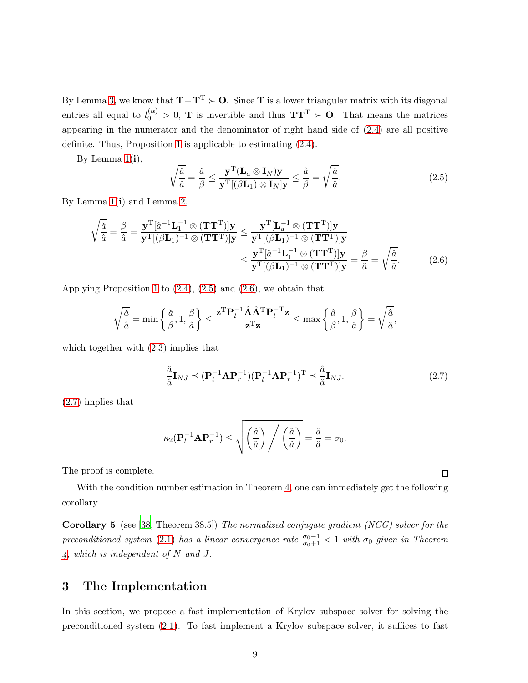By Lemma [3,](#page-6-2) we know that  $T+T^T \succ O$ . Since T is a lower triangular matrix with its diagonal entries all equal to  $l_0^{(\alpha)} > 0$ , **T** is invertible and thus **TT**<sup>T</sup>  $\succ$  **O**. That means the matrices appearing in the numerator and the denominator of right hand side of [\(2.4\)](#page-7-1) are all positive definite. Thus, Proposition [1](#page-7-2) is applicable to estimating [\(2.4\)](#page-7-1).

By Lemma  $1(i)$ ,

<span id="page-8-1"></span>
$$
\sqrt{\frac{\check{a}}{\hat{a}}} = \frac{\check{a}}{\beta} \le \frac{\mathbf{y}^{\mathrm{T}} (\mathbf{L}_{a} \otimes \mathbf{I}_{N}) \mathbf{y}}{\mathbf{y}^{\mathrm{T}} [(\beta \mathbf{L}_{1}) \otimes \mathbf{I}_{N}] \mathbf{y}} \le \frac{\hat{a}}{\beta} = \sqrt{\frac{\hat{a}}{\check{a}}}.
$$
\n(2.5)

By Lemma  $1(i)$  and Lemma [2,](#page-6-3)

$$
\sqrt{\frac{\check{a}}{\hat{a}}} = \frac{\beta}{\hat{a}} = \frac{\mathbf{y}^{\mathrm{T}}[\hat{a}^{-1}\mathbf{L}_{1}^{-1} \otimes (\mathbf{T}\mathbf{T}^{\mathrm{T}})]\mathbf{y}}{\mathbf{y}^{\mathrm{T}}[(\beta\mathbf{L}_{1})^{-1} \otimes (\mathbf{T}\mathbf{T}^{\mathrm{T}})]\mathbf{y}} \leq \frac{\mathbf{y}^{\mathrm{T}}[\mathbf{L}_{a}^{-1} \otimes (\mathbf{T}\mathbf{T}^{\mathrm{T}})]\mathbf{y}}{\mathbf{y}^{\mathrm{T}}[(\beta\mathbf{L}_{1})^{-1} \otimes (\mathbf{T}\mathbf{T}^{\mathrm{T}})]\mathbf{y}} \leq \frac{\mathbf{y}^{\mathrm{T}}[\hat{a}^{-1}\mathbf{L}_{1}^{-1} \otimes (\mathbf{T}\mathbf{T}^{\mathrm{T}})]\mathbf{y}}{\mathbf{y}^{\mathrm{T}}[(\beta\mathbf{L}_{1})^{-1} \otimes (\mathbf{T}\mathbf{T}^{\mathrm{T}})]\mathbf{y}} = \frac{\beta}{\check{a}} = \sqrt{\frac{\hat{a}}{\check{a}}}.
$$
\n(2.6)

Applying Proposition [1](#page-7-2) to [\(2.4\)](#page-7-1), [\(2.5\)](#page-8-1) and [\(2.6\)](#page-8-2), we obtain that

$$
\sqrt{\frac{\check a}{\hat a}}=\min\left\{\frac{\check a}{\beta},1,\frac{\beta}{\hat a}\right\}\le \frac{{\bf z}^{\rm T}{\bf P}_l^{-1}\hat {\bf A}\hat {\bf A}^{\rm T}{\bf P}_l^{-{\rm T}}{\bf z}}{\bf z}^{\rm T}{\bf z}\le \max\left\{\frac{\hat a}{\beta},1,\frac{\beta}{\check a}\right\}=\sqrt{\frac{\hat a}{\check a}},
$$

which together with  $(2.3)$  implies that

<span id="page-8-3"></span>
$$
\frac{\check{a}}{\hat{a}}\mathbf{I}_{NJ} \preceq (\mathbf{P}_l^{-1}\mathbf{A}\mathbf{P}_r^{-1})(\mathbf{P}_l^{-1}\mathbf{A}\mathbf{P}_r^{-1})^{\mathrm{T}} \preceq \frac{\hat{a}}{\check{a}}\mathbf{I}_{NJ}.\tag{2.7}
$$

[\(2.7\)](#page-8-3) implies that

$$
\kappa_2(\mathbf{P}_l^{-1}\mathbf{A}\mathbf{P}_r^{-1}) \leq \sqrt{\left(\frac{\hat{a}}{\check{a}}\right) / \left(\frac{\check{a}}{\hat{a}}\right)} = \frac{\hat{a}}{\check{a}} = \sigma_0.
$$

The proof is complete.

<span id="page-8-4"></span>With the condition number estimation in Theorem [4,](#page-7-0) one can immediately get the following corollary.

Corollary 5 (see [\[38](#page-21-7), Theorem 38.5]) The normalized conjugate gradient (NCG) solver for the preconditioned system [\(2.1\)](#page-5-0) has a linear convergence rate  $\frac{\sigma_0 - 1}{\sigma_0 + 1} < 1$  with  $\sigma_0$  given in Theorem [4,](#page-7-0) which is independent of N and J.

### <span id="page-8-0"></span>3 The Implementation

In this section, we propose a fast implementation of Krylov subspace solver for solving the preconditioned system [\(2.1\)](#page-5-0). To fast implement a Krylov subspace solver, it suffices to fast

<span id="page-8-2"></span> $\Box$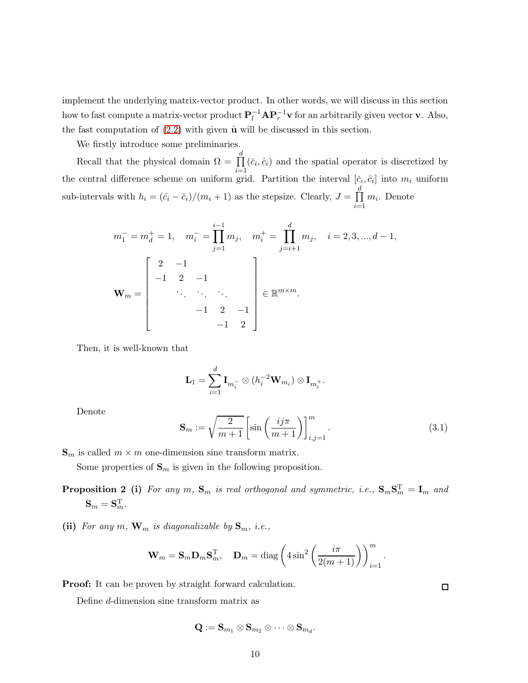implement the underlying matrix-vector product. In other words, we will discuss in this section how to fast compute a matrix-vector product  $P_l^{-1} A P_r^{-1} v$  for an arbitrarily given vector v. Also, the fast computation of  $(2.2)$  with given  $\hat{u}$  will be discussed in this section.

We firstly introduce some preliminaries.

Recall that the physical domain  $\Omega = \prod$ d  $i=1$  $(\check{c}_i, \hat{c}_i)$  and the spatial operator is discretized by the central difference scheme on uniform grid. Partition the interval  $[\check{c}_i, \hat{c}_i]$  into  $m_i$  uniform sub-intervals with  $h_i = (\hat{c}_i - \check{c}_i)/(m_i + 1)$  as the stepsize. Clearly,  $J = \prod_i$ d  $i=1$  $m_i$ . Denote

$$
m_1^- = m_d^+ = 1, \quad m_i^- = \prod_{j=1}^{i-1} m_j, \quad m_i^+ = \prod_{j=i+1}^d m_j, \quad i = 2, 3, ..., d-1,
$$
  

$$
\mathbf{W}_m = \begin{bmatrix} 2 & -1 & & \\ -1 & 2 & -1 & \\ & \ddots & \ddots & \ddots \\ & & -1 & 2 & -1 \\ & & & -1 & 2 \end{bmatrix} \in \mathbb{R}^{m \times m}.
$$

Then, it is well-known that

$$
\mathbf{L}_1 = \sum_{i=1}^d \mathbf{I}_{m_i^-} \otimes (h_i^{-2} \mathbf{W}_{m_i}) \otimes \mathbf{I}_{m_i^+}.
$$

Denote

<span id="page-9-0"></span>
$$
\mathbf{S}_m := \sqrt{\frac{2}{m+1}} \left[ \sin\left(\frac{i j \pi}{m+1}\right) \right]_{i,j=1}^m.
$$
\n(3.1)

 $\mathbf{S}_m$  is called  $m \times m$  one-dimension sine transform matrix.

Some properties of  $\mathbf{S}_m$  is given in the following proposition.

- **Proposition 2** (i) For any m,  $S_m$  is real orthogonal and symmetric, i.e.,  $S_m S_m^T = I_m$  and  $\mathbf{S}_m = \mathbf{S}_m^{\mathrm{T}}.$
- (ii) For any m,  $\mathbf{W}_m$  is diagonalizable by  $\mathbf{S}_m$ , i.e.,

$$
\mathbf{W}_m = \mathbf{S}_m \mathbf{D}_m \mathbf{S}_m^{\mathrm{T}}, \quad \mathbf{D}_m = \text{diag}\left(4\sin^2\left(\frac{i\pi}{2(m+1)}\right)\right)_{i=1}^m.
$$

**Proof:** It can be proven by straight forward calculation.

Define d-dimension sine transform matrix as

$$
\mathbf{Q}:=\mathbf{S}_{m_1}\otimes \mathbf{S}_{m_2}\otimes \cdots \otimes \mathbf{S}_{m_d}.
$$

 $\Box$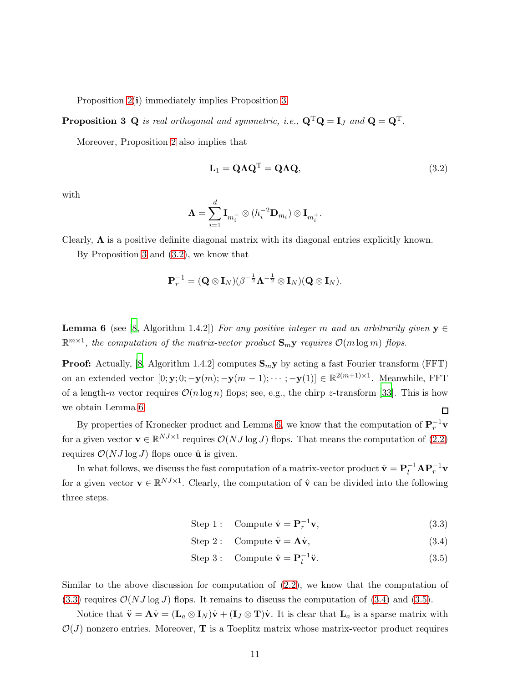Proposition [2\(](#page-9-0)i) immediately implies Proposition [3.](#page-10-0)

**Proposition 3 Q** is real orthogonal and symmetric, i.e.,  $\mathbf{Q}^{\mathrm{T}}\mathbf{Q} = \mathbf{I}_J$  and  $\mathbf{Q} = \mathbf{Q}^{\mathrm{T}}$ .

Moreover, Proposition [2](#page-9-0) also implies that

<span id="page-10-1"></span><span id="page-10-0"></span>
$$
\mathbf{L}_1 = \mathbf{Q} \Lambda \mathbf{Q}^{\mathrm{T}} = \mathbf{Q} \Lambda \mathbf{Q},\tag{3.2}
$$

with

$$
\mathbf{\Lambda}=\sum_{i=1}^d \mathbf{I}_{m_i^-}\otimes (h_i^{-2}\mathbf{D}_{m_i})\otimes \mathbf{I}_{m_i^+}.
$$

Clearly,  $\Lambda$  is a positive definite diagonal matrix with its diagonal entries explicitly known.

By Proposition [3](#page-10-0) and [\(3.2\)](#page-10-1), we know that

$$
\mathbf{P}_r^{-1} = (\mathbf{Q} \otimes \mathbf{I}_N) (\beta^{-\frac{1}{2}} \mathbf{\Lambda}^{-\frac{1}{2}} \otimes \mathbf{I}_N) (\mathbf{Q} \otimes \mathbf{I}_N).
$$

<span id="page-10-2"></span>**Lemma 6** (see [\[8,](#page-18-7) Algorithm 1.4.2]) For any positive integer m and an arbitrarily given  $y \in$  $\mathbb{R}^{m\times 1}$ , the computation of the matrix-vector product  $\mathbf{S}_m$ y requires  $\mathcal{O}(m\log m)$  flops.

**Proof:** Actually, [\[8](#page-18-7), Algorithm 1.4.2] computes  $S_m y$  by acting a fast Fourier transform (FFT) on an extended vector  $[0; \mathbf{y}; 0; -\mathbf{y}(m); -\mathbf{y}(m-1); \cdots; -\mathbf{y}(1)] \in \mathbb{R}^{2(m+1)\times 1}$ . Meanwhile, FFT of a length-n vector requires  $\mathcal{O}(n \log n)$  flops; see, e.g., the chirp z-transform [\[33](#page-20-11)]. This is how we obtain Lemma [6.](#page-10-2) □

By properties of Kronecker product and Lemma [6,](#page-10-2) we know that the computation of  $\mathbf{P}_r^{-1}\mathbf{v}$ for a given vector  $\mathbf{v} \in \mathbb{R}^{NJ \times 1}$  requires  $\mathcal{O}(NJ \log J)$  flops. That means the computation of  $(2.2)$ requires  $\mathcal{O}(NJ \log J)$  flops once  $\hat{\mathbf{u}}$  is given.

In what follows, we discuss the fast computation of a matrix-vector product  $\hat{\mathbf{v}} = \mathbf{P}_l^{-1} \mathbf{A} \mathbf{P}_r^{-1} \mathbf{v}$ for a given vector  $\mathbf{v} \in \mathbb{R}^{NJ \times 1}$ . Clearly, the computation of  $\hat{\mathbf{v}}$  can be divided into the following three steps.

<span id="page-10-3"></span>Step 1: Compute  $\dot{\mathbf{v}} = \mathbf{P}_r^{-1} \mathbf{v},$  (3.3)

Step 2 : Compute  $\ddot{\mathbf{v}} = \mathbf{A}\dot{\mathbf{v}}$ , (3.4)

<span id="page-10-5"></span><span id="page-10-4"></span>Step 3: Compute 
$$
\hat{\mathbf{v}} = \mathbf{P}_l^{-1} \ddot{\mathbf{v}}.
$$
 (3.5)

Similar to the above discussion for computation of [\(2.2\)](#page-5-1), we know that the computation of  $(3.3)$  requires  $\mathcal{O}(NJ \log J)$  flops. It remains to discuss the computation of  $(3.4)$  and  $(3.5)$ .

Notice that  $\ddot{\mathbf{v}} = \mathbf{A}\dot{\mathbf{v}} = (\mathbf{L}_a \otimes \mathbf{I}_N)\dot{\mathbf{v}} + (\mathbf{I}_J \otimes \mathbf{T})\dot{\mathbf{v}}$ . It is clear that  $\mathbf{L}_a$  is a sparse matrix with  $\mathcal{O}(J)$  nonzero entries. Moreover, **T** is a Toeplitz matrix whose matrix-vector product requires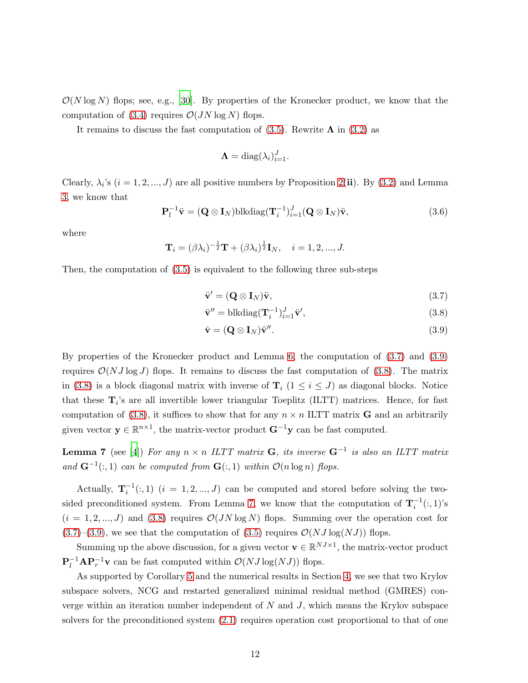$\mathcal{O}(N \log N)$  flops; see, e.g., [\[30\]](#page-20-12). By properties of the Kronecker product, we know that the computation of [\(3.4\)](#page-10-4) requires  $\mathcal{O}(JN \log N)$  flops.

It remains to discuss the fast computation of  $(3.5)$ . Rewrite  $\Lambda$  in  $(3.2)$  as

$$
\mathbf{\Lambda} = \text{diag}(\lambda_i)_{i=1}^J.
$$

Clearly,  $\lambda_i$ 's  $(i = 1, 2, ..., J)$  are all positive numbers by Proposition [2\(](#page-9-0)ii). By [\(3.2\)](#page-10-1) and Lemma [3,](#page-10-0) we know that

$$
\mathbf{P}_l^{-1}\ddot{\mathbf{v}} = (\mathbf{Q} \otimes \mathbf{I}_N)\text{blkdiag}(\mathbf{T}_i^{-1})_{i=1}^J(\mathbf{Q} \otimes \mathbf{I}_N)\ddot{\mathbf{v}},
$$
(3.6)

where

$$
\mathbf{T}_i = (\beta \lambda_i)^{-\frac{1}{2}} \mathbf{T} + (\beta \lambda_i)^{\frac{1}{2}} \mathbf{I}_N, \quad i = 1, 2, ..., J.
$$

Then, the computation of [\(3.5\)](#page-10-5) is equivalent to the following three sub-steps

<span id="page-11-0"></span>
$$
\ddot{\mathbf{v}}' = (\mathbf{Q} \otimes \mathbf{I}_N)\ddot{\mathbf{v}},\tag{3.7}
$$

<span id="page-11-2"></span>
$$
\ddot{\mathbf{v}}'' = \text{blkdiag}(\mathbf{T}_i^{-1})_{i=1}^J \ddot{\mathbf{v}}',\tag{3.8}
$$

<span id="page-11-3"></span><span id="page-11-1"></span>
$$
\hat{\mathbf{v}} = (\mathbf{Q} \otimes \mathbf{I}_N)\ddot{\mathbf{v}}''.
$$
\n(3.9)

By properties of the Kronecker product and Lemma [6,](#page-10-2) the computation of [\(3.7\)](#page-11-0) and [\(3.9\)](#page-11-1) requires  $\mathcal{O}(NJ \log J)$  flops. It remains to discuss the fast computation of [\(3.8\)](#page-11-2). The matrix in [\(3.8\)](#page-11-2) is a block diagonal matrix with inverse of  $\mathbf{T}_i$  ( $1 \leq i \leq J$ ) as diagonal blocks. Notice that these  $\mathbf{T}_i$ 's are all invertible lower triangular Toeplitz (ILTT) matrices. Hence, for fast computation of [\(3.8\)](#page-11-2), it suffices to show that for any  $n \times n$  ILTT matrix **G** and an arbitrarily given vector  $\mathbf{y} \in \mathbb{R}^{n \times 1}$ , the matrix-vector product  $\mathbf{G}^{-1}\mathbf{y}$  can be fast computed.

**Lemma 7** (see [\[4](#page-18-8)]) For any  $n \times n$  ILTT matrix **G**, its inverse  $\mathbf{G}^{-1}$  is also an ILTT matrix and  $\mathbf{G}^{-1}(:,1)$  can be computed from  $\mathbf{G}(:,1)$  within  $\mathcal{O}(n \log n)$  flops.

Actually,  $\mathbf{T}_i^{-1}(:,1)$   $(i = 1, 2, ..., J)$  can be computed and stored before solving the two-sided preconditioned system. From Lemma [7,](#page-11-3) we know that the computation of  $\mathbf{T}_i^{-1}(:,1)$ 's  $(i = 1, 2, ..., J)$  and [\(3.8\)](#page-11-2) requires  $\mathcal{O}(JN \log N)$  flops. Summing over the operation cost for  $(3.7)$ – $(3.9)$ , we see that the computation of  $(3.5)$  requires  $\mathcal{O}(NJ \log(NJ))$  flops.

Summing up the above discussion, for a given vector  $\mathbf{v} \in \mathbb{R}^{NJ \times 1}$ , the matrix-vector product  $\mathbf{P}_l^{-1}\mathbf{A}\mathbf{P}_r^{-1}\mathbf{v}$  can be fast computed within  $\mathcal{O}(NJ\log(NJ))$  flops.

As supported by Corollary [5](#page-8-4) and the numerical results in Section [4,](#page-12-0) we see that two Krylov subspace solvers, NCG and restarted generalized minimal residual method (GMRES) converge within an iteration number independent of  $N$  and  $J$ , which means the Krylov subspace solvers for the preconditioned system [\(2.1\)](#page-5-0) requires operation cost proportional to that of one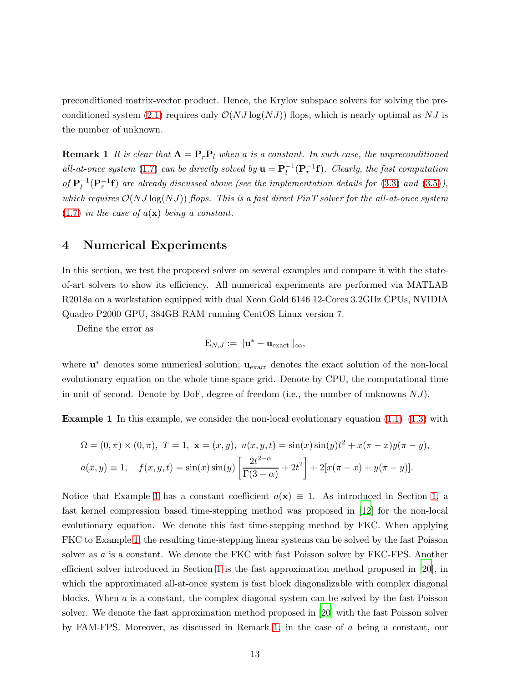<span id="page-12-2"></span>preconditioned matrix-vector product. Hence, the Krylov subspace solvers for solving the pre-conditioned system [\(2.1\)](#page-5-0) requires only  $\mathcal{O}(NJ \log(NJ))$  flops, which is nearly optimal as NJ is the number of unknown.

**Remark 1** It is clear that  $A = P_rP_l$  when a is a constant. In such case, the unpreconditioned all-at-once system [\(1.7\)](#page-3-0) can be directly solved by  $\mathbf{u} = \mathbf{P}_l^{-1}(\mathbf{P}_r^{-1}\mathbf{f})$ . Clearly, the fast computation of  $\mathbf{P}_l^{-1}(\mathbf{P}_r^{-1}\mathbf{f})$  are already discussed above (see the implementation details for [\(3.3\)](#page-10-3) and [\(3.5\)](#page-10-5)), which requires  $\mathcal{O}(NJ \log(NJ))$  flops. This is a fast direct PinT solver for the all-at-once system  $(1.7)$  in the case of  $a(\mathbf{x})$  being a constant.

#### <span id="page-12-0"></span>4 Numerical Experiments

In this section, we test the proposed solver on several examples and compare it with the stateof-art solvers to show its efficiency. All numerical experiments are performed via MATLAB R2018a on a workstation equipped with dual Xeon Gold 6146 12-Cores 3.2GHz CPUs, NVIDIA Quadro P2000 GPU, 384GB RAM running CentOS Linux version 7.

Define the error as

$$
\mathbf{E}_{N,J}:=||\mathbf{u}^*-\mathbf{u}_{\rm exact}||_{\infty},
$$

where  $\mathbf{u}^*$  denotes some numerical solution;  $\mathbf{u}_{\text{exact}}$  denotes the exact solution of the non-local evolutionary equation on the whole time-space grid. Denote by CPU, the computational time in unit of second. Denote by DoF, degree of freedom (i.e., the number of unknowns  $NJ$ ).

<span id="page-12-1"></span>**Example 1** In this example, we consider the non-local evolutionary equation  $(1.1)$ – $(1.3)$  with

$$
\Omega = (0, \pi) \times (0, \pi), \ T = 1, \ \mathbf{x} = (x, y), \ u(x, y, t) = \sin(x)\sin(y)t^2 + x(\pi - x)y(\pi - y),
$$

$$
a(x, y) \equiv 1, \quad f(x, y, t) = \sin(x)\sin(y)\left[\frac{2t^{2-\alpha}}{\Gamma(3-\alpha)} + 2t^2\right] + 2[x(\pi - x) + y(\pi - y)].
$$

Notice that Example [1](#page-12-1) has a constant coefficient  $a(\mathbf{x}) \equiv 1$ . As introduced in Section [1,](#page-1-4) a fast kernel compression based time-stepping method was proposed in [\[12](#page-19-6)] for the non-local evolutionary equation. We denote this fast time-stepping method by FKC. When applying FKC to Example [1,](#page-12-1) the resulting time-stepping linear systems can be solved by the fast Poisson solver as a is a constant. We denote the FKC with fast Poisson solver by FKC-FPS. Another efficient solver introduced in Section [1](#page-1-4) is the fast approximation method proposed in [\[20](#page-19-8)], in which the approximated all-at-once system is fast block diagonalizable with complex diagonal blocks. When  $\alpha$  is a constant, the complex diagonal system can be solved by the fast Poisson solver. We denote the fast approximation method proposed in [\[20\]](#page-19-8) with the fast Poisson solver by FAM-FPS. Moreover, as discussed in Remark [1,](#page-12-2) in the case of a being a constant, our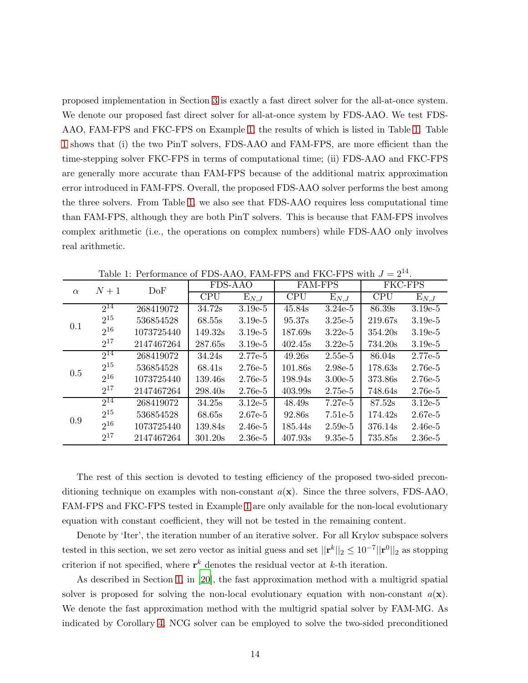proposed implementation in Section [3](#page-8-0) is exactly a fast direct solver for the all-at-once system. We denote our proposed fast direct solver for all-at-once system by FDS-AAO. We test FDS-AAO, FAM-FPS and FKC-FPS on Example [1,](#page-12-1) the results of which is listed in Table [1.](#page-13-0) Table [1](#page-13-0) shows that (i) the two PinT solvers, FDS-AAO and FAM-FPS, are more efficient than the time-stepping solver FKC-FPS in terms of computational time; (ii) FDS-AAO and FKC-FPS are generally more accurate than FAM-FPS because of the additional matrix approximation error introduced in FAM-FPS. Overall, the proposed FDS-AAO solver performs the best among the three solvers. From Table [1,](#page-13-0) we also see that FDS-AAO requires less computational time than FAM-FPS, although they are both PinT solvers. This is because that FAM-FPS involves complex arithmetic (i.e., the operations on complex numbers) while FDS-AAO only involves real arithmetic.

| $\alpha$ | $N+1$    | DoF        | FDS-AAO    |                    | <b>FAM-FPS</b> |                    | FKC-FPS    |           |
|----------|----------|------------|------------|--------------------|----------------|--------------------|------------|-----------|
|          |          |            | <b>CPU</b> | $\mathrm{E}_{N,J}$ | <b>CPU</b>     | $\mathrm{E}_{N,J}$ | <b>CPU</b> | $E_{N,J}$ |
| 0.1      | $2^{14}$ | 268419072  | 34.72s     | $3.19e-5$          | 45.84s         | $3.24e-5$          | 86.39s     | $3.19e-5$ |
|          | $2^{15}$ | 536854528  | 68.55s     | $3.19e-5$          | 95.37s         | $3.25e-5$          | 219.67s    | $3.19e-5$ |
|          | $2^{16}$ | 1073725440 | 149.32s    | $3.19e-5$          | 187.69s        | $3.22e-5$          | 354.20s    | $3.19e-5$ |
|          | $2^{17}$ | 2147467264 | 287.65s    | $3.19e-5$          | 402.45s        | $3.22e-5$          | 734.20s    | $3.19e-5$ |
|          | $2^{14}$ | 268419072  | 34.24s     | $2.77e-5$          | 49.26s         | $2.55e-5$          | 86.04s     | 2.77e-5   |
| 0.5      | $2^{15}$ | 536854528  | 68.41s     | $2.76e-5$          | 101.86s        | $2.98e-5$          | 178.63s    | $2.76e-5$ |
|          | $2^{16}$ | 1073725440 | 139.46s    | $2.76e-5$          | 198.94s        | $3.00e-5$          | 373.86s    | $2.76e-5$ |
|          | $2^{17}$ | 2147467264 | 298.40s    | $2.76e-5$          | 403.99s        | 2.75e-5            | 748.64s    | $2.76e-5$ |
|          | $2^{14}$ | 268419072  | 34.25s     | $3.12e-5$          | 48.49s         | $7.27e-5$          | 87.52s     | $3.12e-5$ |
| 0.9      | $2^{15}$ | 536854528  | 68.65s     | $2.67e-5$          | 92.86s         | $7.51e-5$          | 174.42s    | 2.67e-5   |
|          | $2^{16}$ | 1073725440 | 139.84s    | $2.46e-5$          | 185.44s        | $2.59e-5$          | 376.14s    | $2.46e-5$ |
|          | $2^{17}$ | 2147467264 | 301.20s    | $2.36e-5$          | 407.93s        | $9.35e-5$          | 735.85s    | $2.36e-5$ |

<span id="page-13-0"></span>Table 1: Performance of FDS-AAO, FAM-FPS and FKC-FPS with  $J = 2^{14}$ .

The rest of this section is devoted to testing efficiency of the proposed two-sided preconditioning technique on examples with non-constant  $a(\mathbf{x})$ . Since the three solvers, FDS-AAO, FAM-FPS and FKC-FPS tested in Example [1](#page-13-0) are only available for the non-local evolutionary equation with constant coefficient, they will not be tested in the remaining content.

Denote by 'Iter', the iteration number of an iterative solver. For all Krylov subspace solvers tested in this section, we set zero vector as initial guess and set  $||\mathbf{r}^k||_2 \le 10^{-7}||\mathbf{r}^0||_2$  as stopping criterion if not specified, where  $\mathbf{r}^k$  denotes the residual vector at k-th iteration.

As described in Section [1,](#page-1-4) in [\[20\]](#page-19-8), the fast approximation method with a multigrid spatial solver is proposed for solving the non-local evolutionary equation with non-constant  $a(\mathbf{x})$ . We denote the fast approximation method with the multigrid spatial solver by FAM-MG. As indicated by Corollary [4,](#page-7-0) NCG solver can be employed to solve the two-sided preconditioned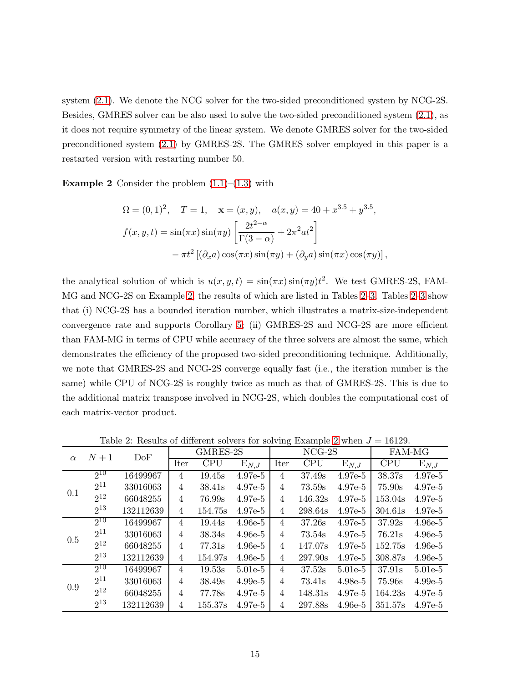system [\(2.1\)](#page-5-0). We denote the NCG solver for the two-sided preconditioned system by NCG-2S. Besides, GMRES solver can be also used to solve the two-sided preconditioned system [\(2.1\)](#page-5-0), as it does not require symmetry of the linear system. We denote GMRES solver for the two-sided preconditioned system [\(2.1\)](#page-5-0) by GMRES-2S. The GMRES solver employed in this paper is a restarted version with restarting number 50.

<span id="page-14-0"></span>**Example 2** Consider the problem  $(1.1)$ – $(1.3)$  with

$$
\Omega = (0, 1)^2, \quad T = 1, \quad \mathbf{x} = (x, y), \quad a(x, y) = 40 + x^{3.5} + y^{3.5},
$$

$$
f(x, y, t) = \sin(\pi x) \sin(\pi y) \left[ \frac{2t^{2-\alpha}}{\Gamma(3-\alpha)} + 2\pi^2 at^2 \right]
$$

$$
-\pi t^2 \left[ (\partial_x a) \cos(\pi x) \sin(\pi y) + (\partial_y a) \sin(\pi x) \cos(\pi y) \right],
$$

the analytical solution of which is  $u(x, y, t) = \sin(\pi x) \sin(\pi y) t^2$ . We test GMRES-2S, FAM-MG and NCG-2S on Example [2,](#page-14-0) the results of which are listed in Tables [2](#page-14-1)[–3.](#page-15-0) Tables [2](#page-14-1)[–3](#page-15-0) show that (i) NCG-2S has a bounded iteration number, which illustrates a matrix-size-independent convergence rate and supports Corollary [5;](#page-8-4) (ii) GMRES-2S and NCG-2S are more efficient than FAM-MG in terms of CPU while accuracy of the three solvers are almost the same, which demonstrates the efficiency of the proposed two-sided preconditioning technique. Additionally, we note that GMRES-2S and NCG-2S converge equally fast (i.e., the iteration number is the same) while CPU of NCG-2S is roughly twice as much as that of GMRES-2S. This is due to the additional matrix transpose involved in NCG-2S, which doubles the computational cost of each matrix-vector product.

| $\alpha$ | $N+1$    | DoF       | GMRES-2S       |            |           |                | $NCG-2S$           | FAM-MG             |            |           |
|----------|----------|-----------|----------------|------------|-----------|----------------|--------------------|--------------------|------------|-----------|
|          |          |           | Iter           | <b>CPU</b> | $E_{N,J}$ | Iter           | <b>CPU</b>         | $\mathrm{E}_{N,J}$ | <b>CPU</b> | $E_{N,J}$ |
|          | $2^{10}$ | 16499967  | $\overline{4}$ | 19.45s     | $4.97e-5$ | 4              | 37.49s             | $4.97e-5$          | 38.37s     | $4.97e-5$ |
|          | $2^{11}$ | 33016063  | $\overline{4}$ | 38.41s     | $4.97e-5$ | 4              | 73.59s             | $4.97e-5$          | 75.90s     | 4.97e-5   |
| 0.1      | $2^{12}$ | 66048255  | $\overline{4}$ | 76.99s     | $4.97e-5$ | 4              | 146.32s            | $4.97e-5$          | 153.04s    | 4.97e-5   |
|          | $2^{13}$ | 132112639 | $\overline{4}$ | 154.75s    | $4.97e-5$ | 4              | 298.64s            | $4.97e-5$          | 304.61s    | $4.97e-5$ |
|          | $2^{10}$ | 16499967  | $\overline{4}$ | 19.44s     | $4.96e-5$ | 4              | 37.26s             | 4.97e-5            | 37.92s     | $4.96e-5$ |
| 0.5      | $2^{11}$ | 33016063  | $\overline{4}$ | 38.34s     | $4.96e-5$ | 4              | 73.54s             | $4.97e-5$          | 76.21s     | $4.96e-5$ |
|          | $2^{12}$ | 66048255  | $\overline{4}$ | 77.31s     | $4.96e-5$ | 4              | 147.07s            | $4.97e-5$          | 152.75s    | $4.96e-5$ |
|          | $2^{13}$ | 132112639 | $\overline{4}$ | 154.97s    | $4.96e-5$ | 4              | 297.90s            | $4.97e-5$          | 308.87s    | $4.96e-5$ |
|          | $2^{10}$ | 16499967  | $\overline{4}$ | 19.53s     | $5.01e-5$ | 4              | 37.52s             | $5.01e-5$          | 37.91s     | $5.01e-5$ |
| 0.9      | $2^{11}$ | 33016063  | 4              | 38.49s     | $4.99e-5$ | 4              | 73.41 <sub>s</sub> | $4.98e-5$          | 75.96s     | $4.99e-5$ |
|          | $2^{12}$ | 66048255  | $\overline{4}$ | 77.78s     | $4.97e-5$ | 4              | 148.31s            | $4.97e-5$          | 164.23s    | $4.97e-5$ |
|          | $2^{13}$ | 132112639 | $\overline{4}$ | 155.37s    | $4.97e-5$ | $\overline{4}$ | 297.88s            | $4.96e-5$          | 351.57s    | $4.97e-5$ |

<span id="page-14-1"></span>Table [2](#page-14-0): Results of different solvers for solving Example 2 when  $J = 16129$ .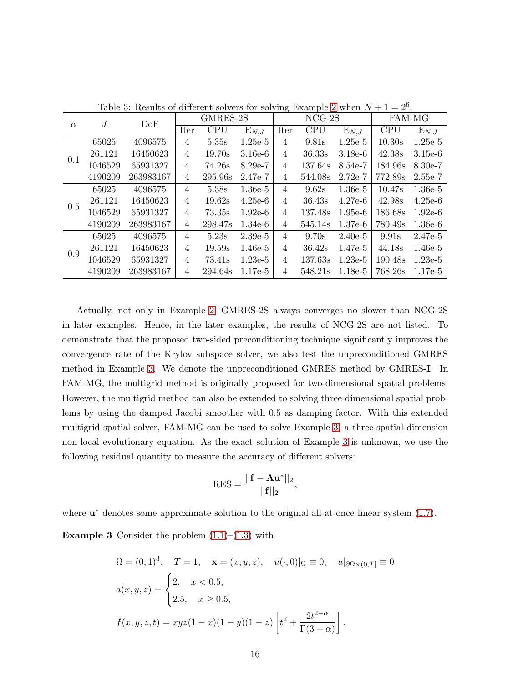|          | $\overline{J}$ | DoF       |                | GMRES-2S   |                    |                | $NCG-2S$   |                    | FAM-MG     |           |  |
|----------|----------------|-----------|----------------|------------|--------------------|----------------|------------|--------------------|------------|-----------|--|
| $\alpha$ |                |           | Iter           | <b>CPU</b> | $\mathrm{E}_{N,J}$ | Iter           | <b>CPU</b> | $\mathrm{E}_{N,J}$ | <b>CPU</b> | $E_{N,J}$ |  |
|          | 65025          | 4096575   | 4              | 5.35s      | $1.25e-5$          | $\overline{4}$ | 9.81s      | $1.25e-5$          | 10.30s     | $1.25e-5$ |  |
|          | 261121         | 16450623  | 4              | 19.70s     | $3.16e-6$          | $\overline{4}$ | 36.33s     | $3.18e-6$          | 42.38s     | $3.15e-6$ |  |
| 0.1      | 1046529        | 65931327  | 4              | 74.26s     | $8.29e-7$          | $\overline{4}$ | 137.64s    | $8.54e-7$          | 184.96s    | $8.30e-7$ |  |
|          | 4190209        | 263983167 | 4              | 295.96s    | 2.47e-7            | $\overline{4}$ | 544.08s    | $2.72e-7$          | 772.89s    | $2.55e-7$ |  |
|          | 65025          | 4096575   | $\overline{4}$ | 5.38s      | $1.36e-5$          | $\overline{4}$ | 9.62s      | $1.36e-5$          | 10.47s     | $1.36e-5$ |  |
| 0.5      | 261121         | 16450623  | 4              | 19.62s     | $4.25e-6$          | $\overline{4}$ | 36.43s     | $4.27e-6$          | 42.98s     | $4.25e-6$ |  |
|          | 1046529        | 65931327  | $\overline{4}$ | 73.35s     | $1.92e-6$          | $\overline{4}$ | 137.48s    | $1.95e-6$          | 186.68s    | $1.92e-6$ |  |
|          | 4190209        | 263983167 | $\overline{4}$ | 298.47s    | $1.34e-6$          | $\overline{4}$ | 545.14s    | $1.37e-6$          | 780.49s    | $1.36e-6$ |  |
|          | 65025          | 4096575   | $\overline{4}$ | 5.23s      | $2.39e-5$          | $\overline{4}$ | 9.70s      | $2.40e-5$          | 9.91s      | 2.47e-5   |  |
|          | 261121         | 16450623  | $\overline{4}$ | 19.59s     | $1.46e-5$          | $\overline{4}$ | 36.42s     | $1.47e-5$          | 44.18s     | $1.46e-5$ |  |
| 0.9      | 1046529        | 65931327  | $\overline{4}$ | 73.41s     | $1.23e-5$          | $\overline{4}$ | 137.63s    | $1.23e-5$          | 190.48s    | $1.23e-5$ |  |
|          | 4190209        | 263983167 | 4              | 294.64s    | $1.17e-5$          | $\overline{4}$ | 548.21s    | $1.18e-5$          | 768.26s    | $1.17e-5$ |  |

<span id="page-15-0"></span>Table 3: Results of different solvers for solving Example [2](#page-14-0) when  $N + 1 = 2<sup>6</sup>$ .

Actually, not only in Example [2,](#page-14-0) GMRES-2S always converges no slower than NCG-2S in later examples. Hence, in the later examples, the results of NCG-2S are not listed. To demonstrate that the proposed two-sided preconditioning technique significantly improves the convergence rate of the Krylov subspace solver, we also test the unpreconditioned GMRES method in Example [3.](#page-15-1) We denote the unpreconditioned GMRES method by GMRES-I. In FAM-MG, the multigrid method is originally proposed for two-dimensional spatial problems. However, the multigrid method can also be extended to solving three-dimensional spatial problems by using the damped Jacobi smoother with 0.5 as damping factor. With this extended multigrid spatial solver, FAM-MG can be used to solve Example [3,](#page-15-1) a three-spatial-dimension non-local evolutionary equation. As the exact solution of Example [3](#page-15-1) is unknown, we use the following residual quantity to measure the accuracy of different solvers:

<span id="page-15-1"></span>
$$
RES = \frac{||\mathbf{f} - \mathbf{A}\mathbf{u}^*||_2}{||\mathbf{f}||_2},
$$

where  $\mathbf{u}^*$  denotes some approximate solution to the original all-at-once linear system [\(1.7\)](#page-3-0).

**Example 3** Consider the problem  $(1.1)$ – $(1.3)$  with

$$
\Omega = (0, 1)^3, \quad T = 1, \quad \mathbf{x} = (x, y, z), \quad u(\cdot, 0)|_{\Omega} \equiv 0, \quad u|_{\partial\Omega \times (0, T]} \equiv 0
$$
  

$$
a(x, y, z) = \begin{cases} 2, & x < 0.5, \\ 2.5, & x \ge 0.5, \end{cases}
$$
  

$$
f(x, y, z, t) = xyz(1 - x)(1 - y)(1 - z) \left[ t^2 + \frac{2t^{2-\alpha}}{\Gamma(3 - \alpha)} \right].
$$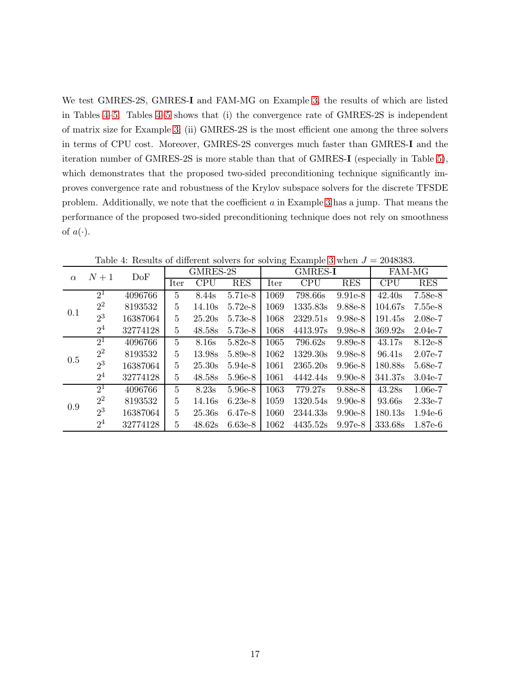We test GMRES-2S, GMRES-I and FAM-MG on Example [3,](#page-15-1) the results of which are listed in Tables [4–](#page-16-0)[5.](#page-17-0) Tables [4](#page-16-0)[–5](#page-17-0) shows that (i) the convergence rate of GMRES-2S is independent of matrix size for Example [3;](#page-15-1) (ii) GMRES-2S is the most efficient one among the three solvers in terms of CPU cost. Moreover, GMRES-2S converges much faster than GMRES-I and the iteration number of GMRES-2S is more stable than that of GMRES-I (especially in Table [5\)](#page-17-0), which demonstrates that the proposed two-sided preconditioning technique significantly improves convergence rate and robustness of the Krylov subspace solvers for the discrete TFSDE problem. Additionally, we note that the coefficient a in Example [3](#page-15-1) has a jump. That means the performance of the proposed two-sided preconditioning technique does not rely on smoothness of  $a(\cdot)$ .

| $\alpha$ | $N+1$          | DoF      | GMRES-2S       |             |            |      | <b>GMRES-I</b> | FAM-MG     |            |            |
|----------|----------------|----------|----------------|-------------|------------|------|----------------|------------|------------|------------|
|          |                |          | Iter           | ${\rm CPU}$ | <b>RES</b> | Iter | CPU            | <b>RES</b> | <b>CPU</b> | <b>RES</b> |
| 0.1      | $2^{1}$        | 4096766  | 5              | 8.44s       | 5.71e-8    | 1069 | 798.66s        | $9.91e-8$  | 42.40s     | 7.58e-8    |
|          | $2^2$          | 8193532  | 5              | 14.10s      | $5.72e-8$  | 1069 | 1335.83s       | 9.88e-8    | 104.67s    | 7.55e-8    |
|          | $2^3$          | 16387064 | 5              | 25.20s      | 5.73e-8    | 1068 | 2329.51s       | $9.98e-8$  | 191.45s    | $2.08e-7$  |
|          | 2 <sup>4</sup> | 32774128 | 5              | 48.58s      | 5.73e-8    | 1068 | 4413.97s       | $9.98e-8$  | 369.92s    | $2.04e-7$  |
|          | $2^{1}$        | 4096766  | $\overline{5}$ | 8.16s       | $5.82e-8$  | 1065 | 796.62s        | $9.89e-8$  | 43.17s     | 8.12e-8    |
| 0.5      | $2^2$          | 8193532  | $\overline{5}$ | 13.98s      | 5.89e-8    | 1062 | 1329.30s       | $9.98e-8$  | 96.41s     | $2.07e-7$  |
|          | $2^3$          | 16387064 | 5              | 25.30s      | $5.94e-8$  | 1061 | 2365.20s       | $9.96e-8$  | 180.88s    | 5.68e-7    |
|          | 2 <sup>4</sup> | 32774128 | $\overline{5}$ | 48.58s      | 5.96e-8    | 1061 | 4442.44s       | $9.90e-8$  | 341.37s    | $3.04e-7$  |
|          | $2^1$          | 4096766  | $\overline{5}$ | 8.23s       | 5.96e-8    | 1063 | 779.27s        | 9.88e-8    | 43.28s     | $1.06e-7$  |
| 0.9      | $2^2$          | 8193532  | $\overline{5}$ | 14.16s      | $6.23e-8$  | 1059 | 1320.54s       | $9.90e-8$  | 93.66s     | $2.33e-7$  |
|          | $2^3$          | 16387064 | $\overline{5}$ | 25.36s      | 6.47e-8    | 1060 | 2344.33s       | $9.90e-8$  | 180.13s    | $1.94e-6$  |
|          | 2 <sup>4</sup> | 32774128 | 5              | 48.62s      | $6.63e-8$  | 1062 | 4435.52s       | $9.97e-8$  | 333.68s    | $1.87e-6$  |

<span id="page-16-0"></span>Table 4: Results of different solvers for solving Example [3](#page-15-1) when  $J = 2048383$ .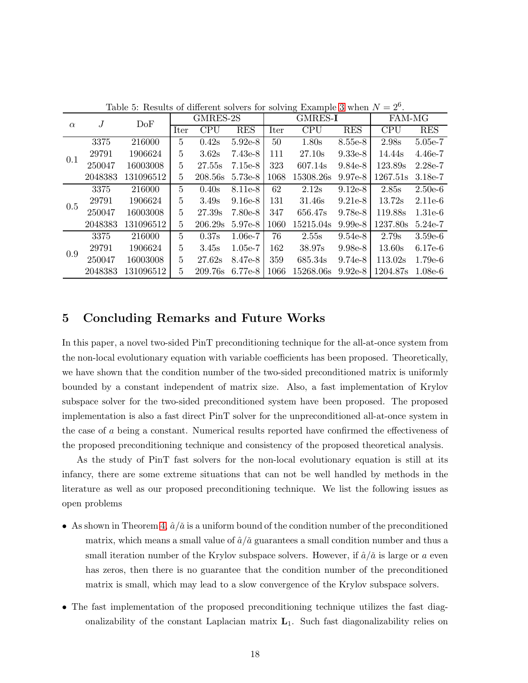| $\alpha$ | J       | DoF       | GMRES-2S       |                |            |      | GMRES-I    | <b>FAM-MG</b> |            |            |  |
|----------|---------|-----------|----------------|----------------|------------|------|------------|---------------|------------|------------|--|
|          |         |           | Iter           | $\mathrm{CPU}$ | <b>RES</b> | Iter | <b>CPU</b> | <b>RES</b>    | <b>CPU</b> | <b>RES</b> |  |
|          | 3375    | 216000    | 5              | 0.42s          | $5.92e-8$  | 50   | 1.80s      | 8.55e-8       | 2.98s      | 5.05e-7    |  |
|          | 29791   | 1906624   | 5              | 3.62s          | $7.43e-8$  | 111  | 27.10s     | $9.33e-8$     | 14.44s     | $4.46e-7$  |  |
| 0.1      | 250047  | 16003008  | 5              | 27.55s         | $7.15e-8$  | 323  | 607.14s    | $9.84e-8$     | 123.89s    | $2.28e-7$  |  |
|          | 2048383 | 131096512 | 5              | 208.56s        | 5.73e-8    | 1068 | 15308.26s  | $9.97e-8$     | 1267.51s   | $3.18e-7$  |  |
|          | 3375    | 216000    | 5              | 0.40s          | 8.11e-8    | 62   | 2.12s      | $9.12e-8$     | 2.85s      | $2.50e-6$  |  |
| 0.5      | 29791   | 1906624   | 5              | 3.49s          | $9.16e-8$  | 131  | 31.46s     | $9.21e-8$     | 13.72s     | $2.11e-6$  |  |
|          | 250047  | 16003008  | $\overline{5}$ | 27.39s         | 7.80e-8    | 347  | 656.47s    | $9.78e-8$     | 119.88s    | $1.31e-6$  |  |
|          | 2048383 | 131096512 | 5              | 206.29s        | 5.97e-8    | 1060 | 15215.04s  | $9.99e-8$     | 1237.80s   | $5.24e-7$  |  |
|          | 3375    | 216000    | 5              | 0.37s          | $1.06e-7$  | 76   | 2.55s      | $9.54e-8$     | 2.79s      | $3.59e-6$  |  |
|          | 29791   | 1906624   | $\overline{5}$ | 3.45s          | $1.05e-7$  | 162  | 38.97s     | $9.98e-8$     | 13.60s     | $6.17e-6$  |  |
| 0.9      | 250047  | 16003008  | 5              | 27.62s         | 8.47e-8    | 359  | 685.34s    | $9.74e-8$     | 113.02s    | $1.79e-6$  |  |
|          | 2048383 | 131096512 | 5              | 209.76s        | 6.77e-8    | 1066 | 15268.06s  | $9.92e-8$     | 1204.87s   | $1.08e-6$  |  |

<span id="page-17-0"></span>Table 5: Results of different solvers for solving Example [3](#page-15-1) when  $N = 2^6$ .

#### 5 Concluding Remarks and Future Works

In this paper, a novel two-sided PinT preconditioning technique for the all-at-once system from the non-local evolutionary equation with variable coefficients has been proposed. Theoretically, we have shown that the condition number of the two-sided preconditioned matrix is uniformly bounded by a constant independent of matrix size. Also, a fast implementation of Krylov subspace solver for the two-sided preconditioned system have been proposed. The proposed implementation is also a fast direct PinT solver for the unpreconditioned all-at-once system in the case of a being a constant. Numerical results reported have confirmed the effectiveness of the proposed preconditioning technique and consistency of the proposed theoretical analysis.

As the study of PinT fast solvers for the non-local evolutionary equation is still at its infancy, there are some extreme situations that can not be well handled by methods in the literature as well as our proposed preconditioning technique. We list the following issues as open problems

- As shown in Theorem [4,](#page-7-0)  $\hat{a}/\tilde{a}$  is a uniform bound of the condition number of the preconditioned matrix, which means a small value of  $\hat{a}/\tilde{a}$  guarantees a small condition number and thus a small iteration number of the Krylov subspace solvers. However, if  $\hat{a}/\tilde{a}$  is large or a even has zeros, then there is no guarantee that the condition number of the preconditioned matrix is small, which may lead to a slow convergence of the Krylov subspace solvers.
- The fast implementation of the proposed preconditioning technique utilizes the fast diagonalizability of the constant Laplacian matrix  $L_1$ . Such fast diagonalizability relies on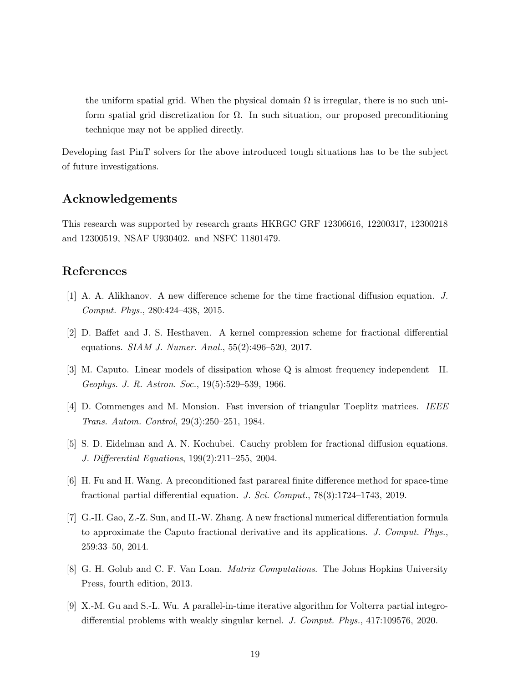the uniform spatial grid. When the physical domain  $\Omega$  is irregular, there is no such uniform spatial grid discretization for Ω. In such situation, our proposed preconditioning technique may not be applied directly.

Developing fast PinT solvers for the above introduced tough situations has to be the subject of future investigations.

#### Acknowledgements

This research was supported by research grants HKRGC GRF 12306616, 12200317, 12300218 and 12300519, NSAF U930402. and NSFC 11801479.

## References

- <span id="page-18-1"></span>[1] A. A. Alikhanov. A new difference scheme for the time fractional diffusion equation. J. Comput. Phys., 280:424–438, 2015.
- <span id="page-18-4"></span>[2] D. Baffet and J. S. Hesthaven. A kernel compression scheme for fractional differential equations. SIAM J. Numer. Anal., 55(2):496–520, 2017.
- <span id="page-18-2"></span>[3] M. Caputo. Linear models of dissipation whose Q is almost frequency independent—II. Geophys. J. R. Astron. Soc., 19(5):529–539, 1966.
- <span id="page-18-8"></span>[4] D. Commenges and M. Monsion. Fast inversion of triangular Toeplitz matrices. IEEE Trans. Autom. Control, 29(3):250–251, 1984.
- <span id="page-18-3"></span>[5] S. D. Eidelman and A. N. Kochubei. Cauchy problem for fractional diffusion equations. J. Differential Equations, 199(2):211–255, 2004.
- <span id="page-18-6"></span>[6] H. Fu and H. Wang. A preconditioned fast parareal finite difference method for space-time fractional partial differential equation. J. Sci. Comput., 78(3):1724–1743, 2019.
- <span id="page-18-0"></span>[7] G.-H. Gao, Z.-Z. Sun, and H.-W. Zhang. A new fractional numerical differentiation formula to approximate the Caputo fractional derivative and its applications. J. Comput. Phys., 259:33–50, 2014.
- <span id="page-18-7"></span>[8] G. H. Golub and C. F. Van Loan. *Matrix Computations*. The Johns Hopkins University Press, fourth edition, 2013.
- <span id="page-18-5"></span>[9] X.-M. Gu and S.-L. Wu. A parallel-in-time iterative algorithm for Volterra partial integrodifferential problems with weakly singular kernel. J. Comput. Phys., 417:109576, 2020.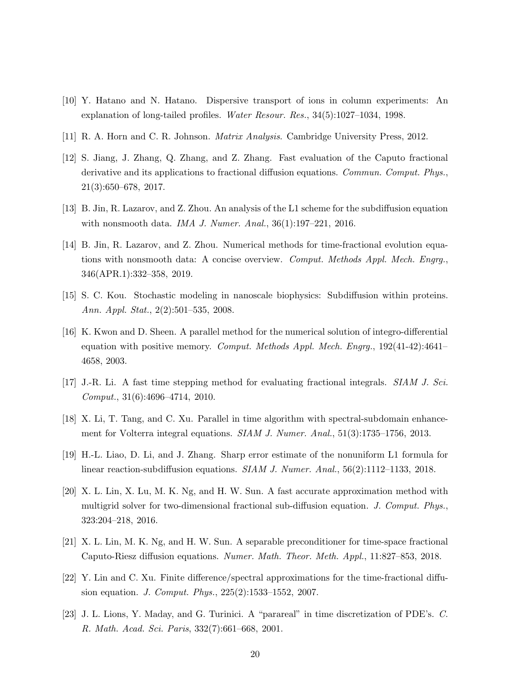- <span id="page-19-3"></span>[10] Y. Hatano and N. Hatano. Dispersive transport of ions in column experiments: An explanation of long-tailed profiles. Water Resour. Res., 34(5):1027–1034, 1998.
- <span id="page-19-13"></span>[11] R. A. Horn and C. R. Johnson. Matrix Analysis. Cambridge University Press, 2012.
- <span id="page-19-6"></span>[12] S. Jiang, J. Zhang, Q. Zhang, and Z. Zhang. Fast evaluation of the Caputo fractional derivative and its applications to fractional diffusion equations. Commun. Comput. Phys., 21(3):650–678, 2017.
- <span id="page-19-0"></span>[13] B. Jin, R. Lazarov, and Z. Zhou. An analysis of the L1 scheme for the subdiffusion equation with nonsmooth data. IMA J. Numer. Anal., 36(1):197–221, 2016.
- <span id="page-19-5"></span>[14] B. Jin, R. Lazarov, and Z. Zhou. Numerical methods for time-fractional evolution equations with nonsmooth data: A concise overview. Comput. Methods Appl. Mech. Engrg., 346(APR.1):332–358, 2019.
- <span id="page-19-4"></span>[15] S. C. Kou. Stochastic modeling in nanoscale biophysics: Subdiffusion within proteins. Ann. Appl. Stat., 2(2):501–535, 2008.
- <span id="page-19-9"></span>[16] K. Kwon and D. Sheen. A parallel method for the numerical solution of integro-differential equation with positive memory. Comput. Methods Appl. Mech. Engry.,  $192(41-42):4641-$ 4658, 2003.
- <span id="page-19-7"></span>[17] J.-R. Li. A fast time stepping method for evaluating fractional integrals. SIAM J. Sci. Comput., 31(6):4696–4714, 2010.
- <span id="page-19-10"></span>[18] X. Li, T. Tang, and C. Xu. Parallel in time algorithm with spectral-subdomain enhancement for Volterra integral equations. SIAM J. Numer. Anal., 51(3):1735–1756, 2013.
- <span id="page-19-1"></span>[19] H.-L. Liao, D. Li, and J. Zhang. Sharp error estimate of the nonuniform L1 formula for linear reaction-subdiffusion equations. SIAM J. Numer. Anal., 56(2):1112–1133, 2018.
- <span id="page-19-8"></span>[20] X. L. Lin, X. Lu, M. K. Ng, and H. W. Sun. A fast accurate approximation method with multigrid solver for two-dimensional fractional sub-diffusion equation. J. Comput. Phys., 323:204–218, 2016.
- <span id="page-19-12"></span>[21] X. L. Lin, M. K. Ng, and H. W. Sun. A separable preconditioner for time-space fractional Caputo-Riesz diffusion equations. Numer. Math. Theor. Meth. Appl., 11:827–853, 2018.
- <span id="page-19-2"></span>[22] Y. Lin and C. Xu. Finite difference/spectral approximations for the time-fractional diffusion equation. J. Comput. Phys., 225(2):1533–1552, 2007.
- <span id="page-19-11"></span>[23] J. L. Lions, Y. Maday, and G. Turinici. A "parareal" in time discretization of PDE's. C. R. Math. Acad. Sci. Paris, 332(7):661–668, 2001.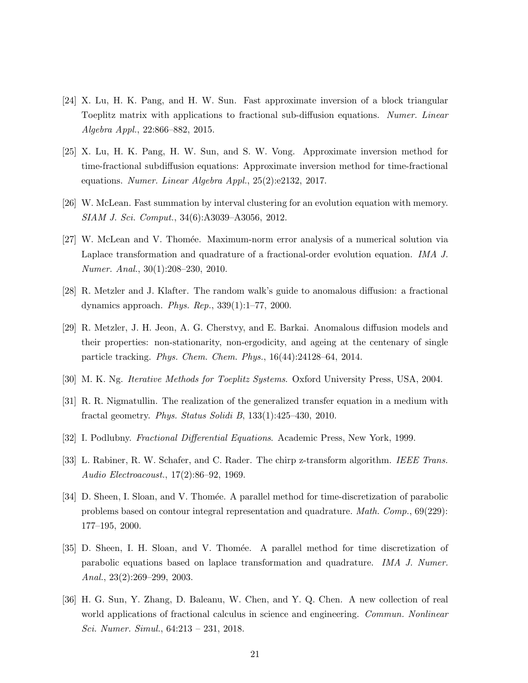- <span id="page-20-6"></span>[24] X. Lu, H. K. Pang, and H. W. Sun. Fast approximate inversion of a block triangular Toeplitz matrix with applications to fractional sub-diffusion equations. Numer. Linear Algebra Appl., 22:866–882, 2015.
- <span id="page-20-7"></span>[25] X. Lu, H. K. Pang, H. W. Sun, and S. W. Vong. Approximate inversion method for time-fractional subdiffusion equations: Approximate inversion method for time-fractional equations. Numer. Linear Algebra Appl., 25(2):e2132, 2017.
- <span id="page-20-5"></span>[26] W. McLean. Fast summation by interval clustering for an evolution equation with memory. SIAM J. Sci. Comput., 34(6):A3039–A3056, 2012.
- <span id="page-20-8"></span>[27] W. McLean and V. Thomée. Maximum-norm error analysis of a numerical solution via Laplace transformation and quadrature of a fractional-order evolution equation. IMA J. Numer. Anal., 30(1):208–230, 2010.
- <span id="page-20-2"></span>[28] R. Metzler and J. Klafter. The random walk's guide to anomalous diffusion: a fractional dynamics approach. Phys. Rep., 339(1):1–77, 2000.
- <span id="page-20-3"></span>[29] R. Metzler, J. H. Jeon, A. G. Cherstvy, and E. Barkai. Anomalous diffusion models and their properties: non-stationarity, non-ergodicity, and ageing at the centenary of single particle tracking. Phys. Chem. Chem. Phys., 16(44):24128–64, 2014.
- <span id="page-20-12"></span>[30] M. K. Ng. Iterative Methods for Toeplitz Systems. Oxford University Press, USA, 2004.
- <span id="page-20-1"></span>[31] R. R. Nigmatullin. The realization of the generalized transfer equation in a medium with fractal geometry. Phys. Status Solidi B, 133(1):425–430, 2010.
- <span id="page-20-0"></span>[32] I. Podlubny. Fractional Differential Equations. Academic Press, New York, 1999.
- <span id="page-20-11"></span>[33] L. Rabiner, R. W. Schafer, and C. Rader. The chirp z-transform algorithm. IEEE Trans. Audio Electroacoust., 17(2):86–92, 1969.
- <span id="page-20-9"></span>[34] D. Sheen, I. Sloan, and V. Thomée. A parallel method for time-discretization of parabolic problems based on contour integral representation and quadrature. Math. Comp., 69(229): 177–195, 2000.
- <span id="page-20-10"></span>[35] D. Sheen, I. H. Sloan, and V. Thomée. A parallel method for time discretization of parabolic equations based on laplace transformation and quadrature. IMA J. Numer. Anal., 23(2):269–299, 2003.
- <span id="page-20-4"></span>[36] H. G. Sun, Y. Zhang, D. Baleanu, W. Chen, and Y. Q. Chen. A new collection of real world applications of fractional calculus in science and engineering. Commun. Nonlinear Sci. Numer. Simul., 64:213 – 231, 2018.